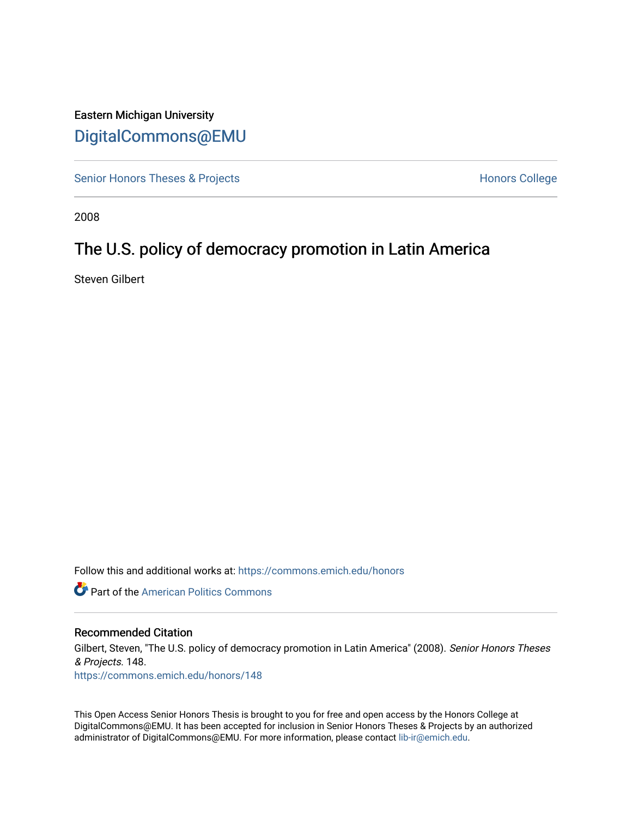# Eastern Michigan University [DigitalCommons@EMU](https://commons.emich.edu/)

[Senior Honors Theses & Projects](https://commons.emich.edu/honors) **Honors College** Honors College

2008

# The U.S. policy of democracy promotion in Latin America

Steven Gilbert

Follow this and additional works at: [https://commons.emich.edu/honors](https://commons.emich.edu/honors?utm_source=commons.emich.edu%2Fhonors%2F148&utm_medium=PDF&utm_campaign=PDFCoverPages)

**Part of the American Politics Commons** 

#### Recommended Citation

Gilbert, Steven, "The U.S. policy of democracy promotion in Latin America" (2008). Senior Honors Theses & Projects. 148. [https://commons.emich.edu/honors/148](https://commons.emich.edu/honors/148?utm_source=commons.emich.edu%2Fhonors%2F148&utm_medium=PDF&utm_campaign=PDFCoverPages)

This Open Access Senior Honors Thesis is brought to you for free and open access by the Honors College at DigitalCommons@EMU. It has been accepted for inclusion in Senior Honors Theses & Projects by an authorized administrator of DigitalCommons@EMU. For more information, please contact [lib-ir@emich.edu](mailto:lib-ir@emich.edu).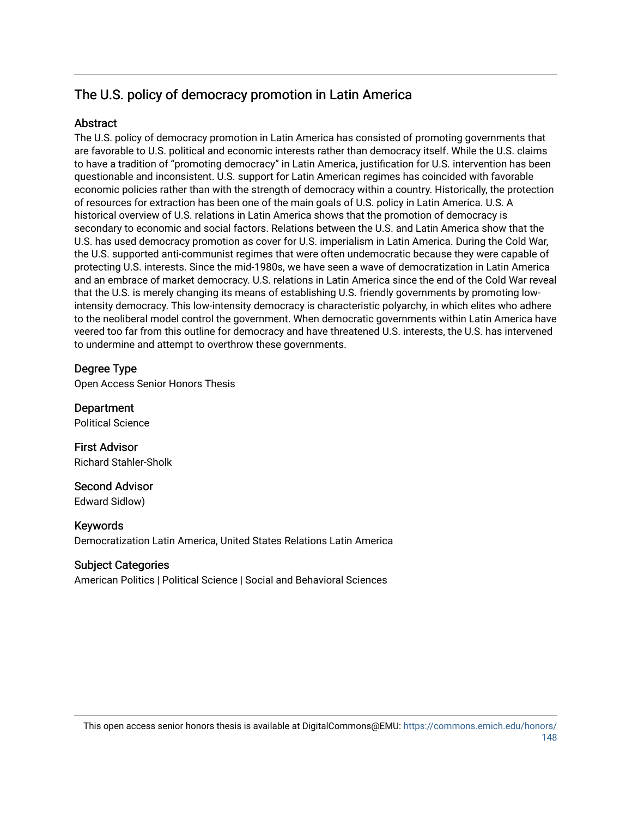# The U.S. policy of democracy promotion in Latin America

## **Abstract**

The U.S. policy of democracy promotion in Latin America has consisted of promoting governments that are favorable to U.S. political and economic interests rather than democracy itself. While the U.S. claims to have a tradition of "promoting democracy" in Latin America, justification for U.S. intervention has been questionable and inconsistent. U.S. support for Latin American regimes has coincided with favorable economic policies rather than with the strength of democracy within a country. Historically, the protection of resources for extraction has been one of the main goals of U.S. policy in Latin America. U.S. A historical overview of U.S. relations in Latin America shows that the promotion of democracy is secondary to economic and social factors. Relations between the U.S. and Latin America show that the U.S. has used democracy promotion as cover for U.S. imperialism in Latin America. During the Cold War, the U.S. supported anti-communist regimes that were often undemocratic because they were capable of protecting U.S. interests. Since the mid-1980s, we have seen a wave of democratization in Latin America and an embrace of market democracy. U.S. relations in Latin America since the end of the Cold War reveal that the U.S. is merely changing its means of establishing U.S. friendly governments by promoting lowintensity democracy. This low-intensity democracy is characteristic polyarchy, in which elites who adhere to the neoliberal model control the government. When democratic governments within Latin America have veered too far from this outline for democracy and have threatened U.S. interests, the U.S. has intervened to undermine and attempt to overthrow these governments.

## Degree Type

Open Access Senior Honors Thesis

Department Political Science

First Advisor Richard Stahler-Sholk

Second Advisor Edward Sidlow)

Keywords Democratization Latin America, United States Relations Latin America

#### Subject Categories

American Politics | Political Science | Social and Behavioral Sciences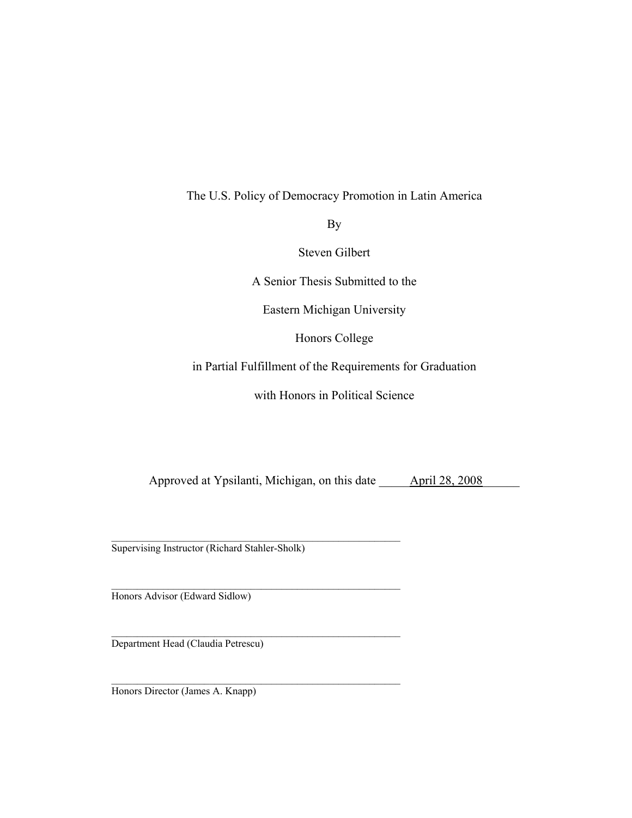## The U.S. Policy of Democracy Promotion in Latin America

By

Steven Gilbert

A Senior Thesis Submitted to the

Eastern Michigan University

Honors College

in Partial Fulfillment of the Requirements for Graduation

with Honors in Political Science

Approved at Ypsilanti, Michigan, on this date \_\_\_\_\_\_\_\_\_\_\_\_\_\_\_\_\_\_\_\_\_\_\_\_\_\_\_\_\_\_\_\_\_\_\_

\_\_\_\_\_\_\_\_\_\_\_\_\_\_\_\_\_\_\_\_\_\_\_\_\_\_\_\_\_\_\_\_\_\_\_\_\_\_\_\_\_\_\_\_\_\_\_\_\_\_\_\_\_\_\_\_ Supervising Instructor (Richard Stahler-Sholk)

 $\mathcal{L}_\text{max}$  and the contract of the contract of the contract of the contract of the contract of the contract of the contract of the contract of the contract of the contract of the contract of the contract of the contrac

\_\_\_\_\_\_\_\_\_\_\_\_\_\_\_\_\_\_\_\_\_\_\_\_\_\_\_\_\_\_\_\_\_\_\_\_\_\_\_\_\_\_\_\_\_\_\_\_\_\_\_\_\_\_\_\_

Honors Advisor (Edward Sidlow)

Department Head (Claudia Petrescu)

Honors Director (James A. Knapp)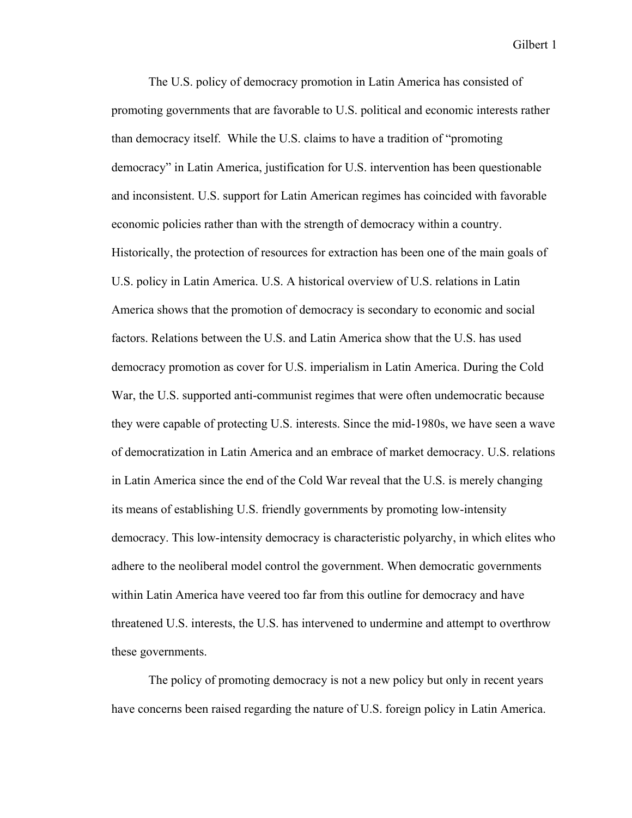The U.S. policy of democracy promotion in Latin America has consisted of promoting governments that are favorable to U.S. political and economic interests rather than democracy itself. While the U.S. claims to have a tradition of "promoting democracy" in Latin America, justification for U.S. intervention has been questionable and inconsistent. U.S. support for Latin American regimes has coincided with favorable economic policies rather than with the strength of democracy within a country. Historically, the protection of resources for extraction has been one of the main goals of U.S. policy in Latin America. U.S. A historical overview of U.S. relations in Latin America shows that the promotion of democracy is secondary to economic and social factors. Relations between the U.S. and Latin America show that the U.S. has used democracy promotion as cover for U.S. imperialism in Latin America. During the Cold War, the U.S. supported anti-communist regimes that were often undemocratic because they were capable of protecting U.S. interests. Since the mid-1980s, we have seen a wave of democratization in Latin America and an embrace of market democracy. U.S. relations in Latin America since the end of the Cold War reveal that the U.S. is merely changing its means of establishing U.S. friendly governments by promoting low-intensity democracy. This low-intensity democracy is characteristic polyarchy, in which elites who adhere to the neoliberal model control the government. When democratic governments within Latin America have veered too far from this outline for democracy and have threatened U.S. interests, the U.S. has intervened to undermine and attempt to overthrow these governments.

The policy of promoting democracy is not a new policy but only in recent years have concerns been raised regarding the nature of U.S. foreign policy in Latin America.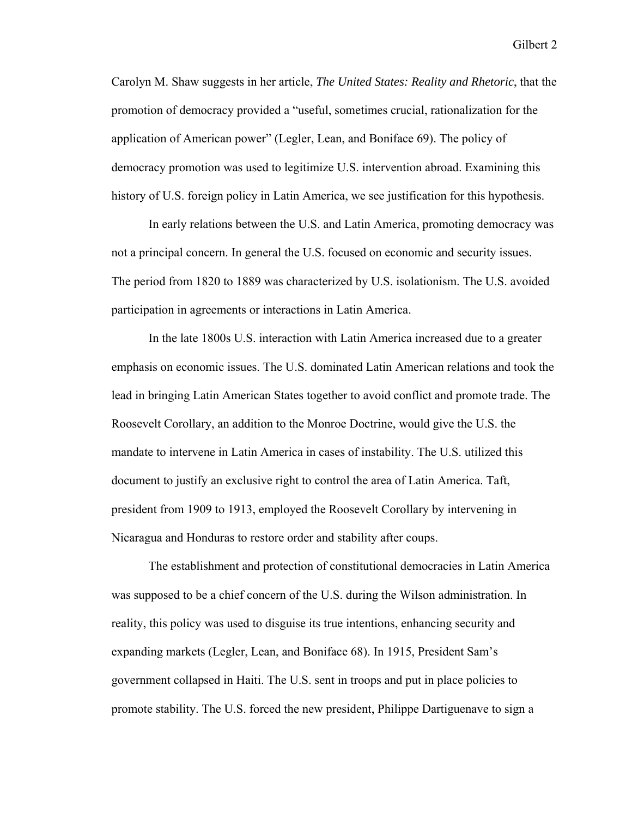Carolyn M. Shaw suggests in her article, *The United States: Reality and Rhetoric*, that the promotion of democracy provided a "useful, sometimes crucial, rationalization for the application of American power" (Legler, Lean, and Boniface 69). The policy of democracy promotion was used to legitimize U.S. intervention abroad. Examining this history of U.S. foreign policy in Latin America, we see justification for this hypothesis.

In early relations between the U.S. and Latin America, promoting democracy was not a principal concern. In general the U.S. focused on economic and security issues. The period from 1820 to 1889 was characterized by U.S. isolationism. The U.S. avoided participation in agreements or interactions in Latin America.

In the late 1800s U.S. interaction with Latin America increased due to a greater emphasis on economic issues. The U.S. dominated Latin American relations and took the lead in bringing Latin American States together to avoid conflict and promote trade. The Roosevelt Corollary, an addition to the Monroe Doctrine, would give the U.S. the mandate to intervene in Latin America in cases of instability. The U.S. utilized this document to justify an exclusive right to control the area of Latin America. Taft, president from 1909 to 1913, employed the Roosevelt Corollary by intervening in Nicaragua and Honduras to restore order and stability after coups.

The establishment and protection of constitutional democracies in Latin America was supposed to be a chief concern of the U.S. during the Wilson administration. In reality, this policy was used to disguise its true intentions, enhancing security and expanding markets (Legler, Lean, and Boniface 68). In 1915, President Sam's government collapsed in Haiti. The U.S. sent in troops and put in place policies to promote stability. The U.S. forced the new president, Philippe Dartiguenave to sign a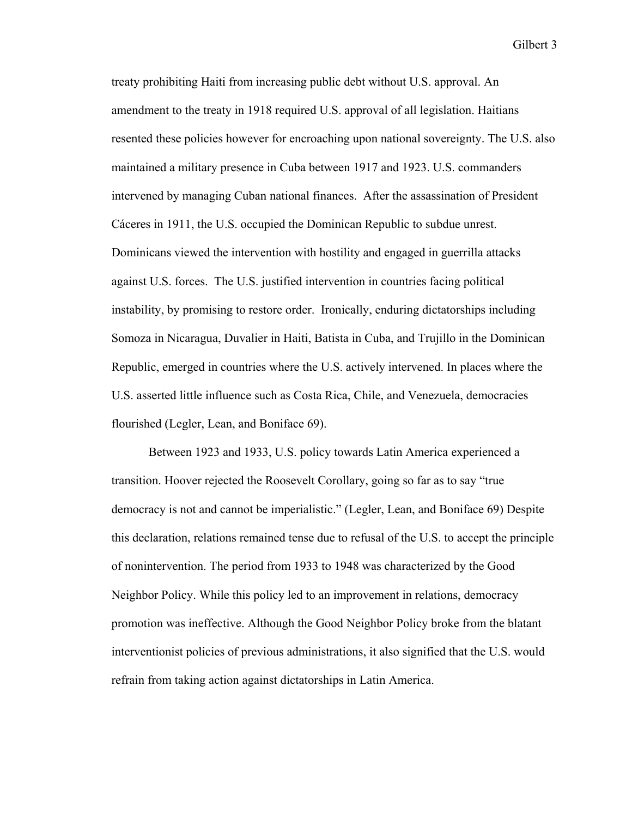treaty prohibiting Haiti from increasing public debt without U.S. approval. An amendment to the treaty in 1918 required U.S. approval of all legislation. Haitians resented these policies however for encroaching upon national sovereignty. The U.S. also maintained a military presence in Cuba between 1917 and 1923. U.S. commanders intervened by managing Cuban national finances. After the assassination of President Cáceres in 1911, the U.S. occupied the Dominican Republic to subdue unrest. Dominicans viewed the intervention with hostility and engaged in guerrilla attacks against U.S. forces. The U.S. justified intervention in countries facing political instability, by promising to restore order. Ironically, enduring dictatorships including Somoza in Nicaragua, Duvalier in Haiti, Batista in Cuba, and Trujillo in the Dominican Republic, emerged in countries where the U.S. actively intervened. In places where the U.S. asserted little influence such as Costa Rica, Chile, and Venezuela, democracies flourished (Legler, Lean, and Boniface 69).

Between 1923 and 1933, U.S. policy towards Latin America experienced a transition. Hoover rejected the Roosevelt Corollary, going so far as to say "true democracy is not and cannot be imperialistic." (Legler, Lean, and Boniface 69) Despite this declaration, relations remained tense due to refusal of the U.S. to accept the principle of nonintervention. The period from 1933 to 1948 was characterized by the Good Neighbor Policy. While this policy led to an improvement in relations, democracy promotion was ineffective. Although the Good Neighbor Policy broke from the blatant interventionist policies of previous administrations, it also signified that the U.S. would refrain from taking action against dictatorships in Latin America.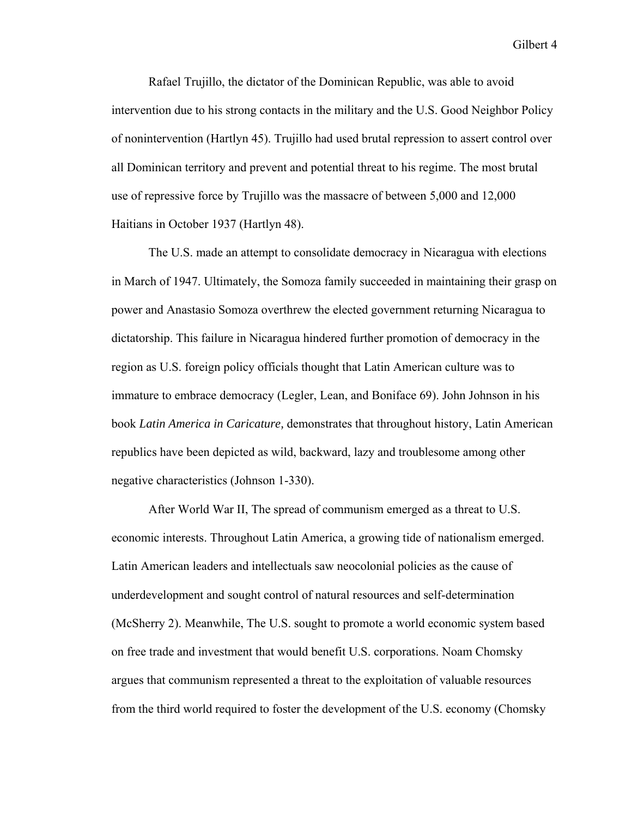Rafael Trujillo, the dictator of the Dominican Republic, was able to avoid intervention due to his strong contacts in the military and the U.S. Good Neighbor Policy of nonintervention (Hartlyn 45). Trujillo had used brutal repression to assert control over all Dominican territory and prevent and potential threat to his regime. The most brutal use of repressive force by Trujillo was the massacre of between 5,000 and 12,000 Haitians in October 1937 (Hartlyn 48).

The U.S. made an attempt to consolidate democracy in Nicaragua with elections in March of 1947. Ultimately, the Somoza family succeeded in maintaining their grasp on power and Anastasio Somoza overthrew the elected government returning Nicaragua to dictatorship. This failure in Nicaragua hindered further promotion of democracy in the region as U.S. foreign policy officials thought that Latin American culture was to immature to embrace democracy (Legler, Lean, and Boniface 69). John Johnson in his book *Latin America in Caricature,* demonstrates that throughout history, Latin American republics have been depicted as wild, backward, lazy and troublesome among other negative characteristics (Johnson 1-330).

After World War II, The spread of communism emerged as a threat to U.S. economic interests. Throughout Latin America, a growing tide of nationalism emerged. Latin American leaders and intellectuals saw neocolonial policies as the cause of underdevelopment and sought control of natural resources and self-determination (McSherry 2). Meanwhile, The U.S. sought to promote a world economic system based on free trade and investment that would benefit U.S. corporations. Noam Chomsky argues that communism represented a threat to the exploitation of valuable resources from the third world required to foster the development of the U.S. economy (Chomsky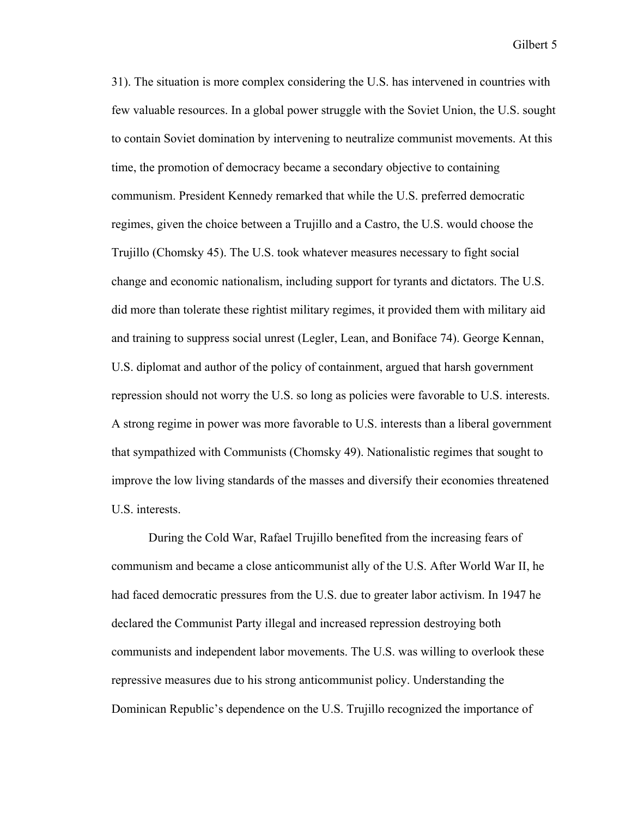31). The situation is more complex considering the U.S. has intervened in countries with few valuable resources. In a global power struggle with the Soviet Union, the U.S. sought to contain Soviet domination by intervening to neutralize communist movements. At this time, the promotion of democracy became a secondary objective to containing communism. President Kennedy remarked that while the U.S. preferred democratic regimes, given the choice between a Trujillo and a Castro, the U.S. would choose the Trujillo (Chomsky 45). The U.S. took whatever measures necessary to fight social change and economic nationalism, including support for tyrants and dictators. The U.S. did more than tolerate these rightist military regimes, it provided them with military aid and training to suppress social unrest (Legler, Lean, and Boniface 74). George Kennan, U.S. diplomat and author of the policy of containment, argued that harsh government repression should not worry the U.S. so long as policies were favorable to U.S. interests. A strong regime in power was more favorable to U.S. interests than a liberal government that sympathized with Communists (Chomsky 49). Nationalistic regimes that sought to improve the low living standards of the masses and diversify their economies threatened U.S. interests.

During the Cold War, Rafael Trujillo benefited from the increasing fears of communism and became a close anticommunist ally of the U.S. After World War II, he had faced democratic pressures from the U.S. due to greater labor activism. In 1947 he declared the Communist Party illegal and increased repression destroying both communists and independent labor movements. The U.S. was willing to overlook these repressive measures due to his strong anticommunist policy. Understanding the Dominican Republic's dependence on the U.S. Trujillo recognized the importance of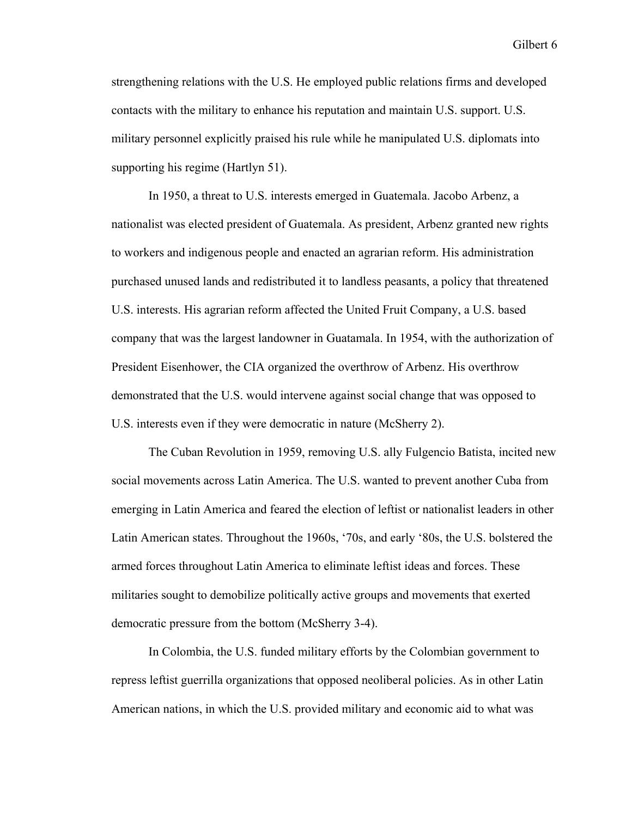strengthening relations with the U.S. He employed public relations firms and developed contacts with the military to enhance his reputation and maintain U.S. support. U.S. military personnel explicitly praised his rule while he manipulated U.S. diplomats into supporting his regime (Hartlyn 51).

 In 1950, a threat to U.S. interests emerged in Guatemala. Jacobo Arbenz, a nationalist was elected president of Guatemala. As president, Arbenz granted new rights to workers and indigenous people and enacted an agrarian reform. His administration purchased unused lands and redistributed it to landless peasants, a policy that threatened U.S. interests. His agrarian reform affected the United Fruit Company, a U.S. based company that was the largest landowner in Guatamala. In 1954, with the authorization of President Eisenhower, the CIA organized the overthrow of Arbenz. His overthrow demonstrated that the U.S. would intervene against social change that was opposed to U.S. interests even if they were democratic in nature (McSherry 2).

 The Cuban Revolution in 1959, removing U.S. ally Fulgencio Batista, incited new social movements across Latin America. The U.S. wanted to prevent another Cuba from emerging in Latin America and feared the election of leftist or nationalist leaders in other Latin American states. Throughout the 1960s, '70s, and early '80s, the U.S. bolstered the armed forces throughout Latin America to eliminate leftist ideas and forces. These militaries sought to demobilize politically active groups and movements that exerted democratic pressure from the bottom (McSherry 3-4).

In Colombia, the U.S. funded military efforts by the Colombian government to repress leftist guerrilla organizations that opposed neoliberal policies. As in other Latin American nations, in which the U.S. provided military and economic aid to what was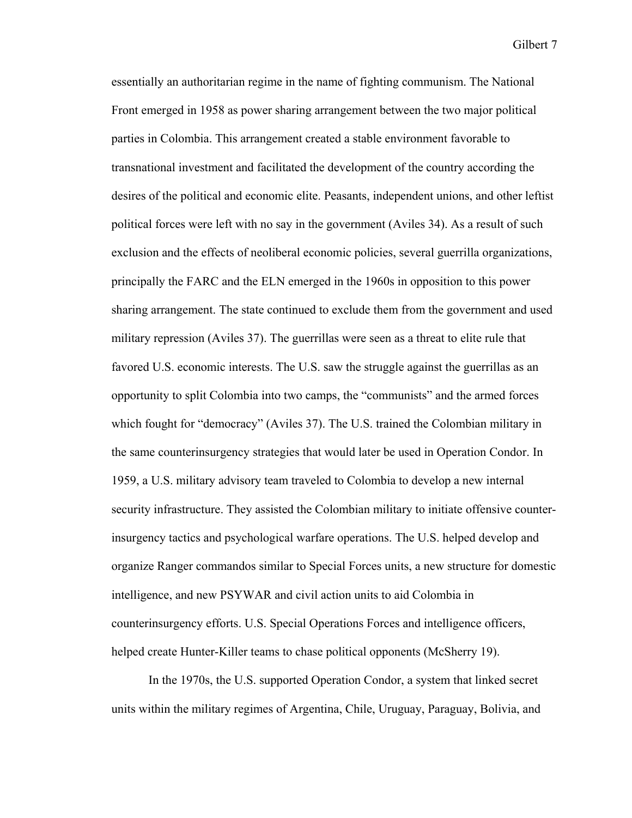essentially an authoritarian regime in the name of fighting communism. The National Front emerged in 1958 as power sharing arrangement between the two major political parties in Colombia. This arrangement created a stable environment favorable to transnational investment and facilitated the development of the country according the desires of the political and economic elite. Peasants, independent unions, and other leftist political forces were left with no say in the government (Aviles 34). As a result of such exclusion and the effects of neoliberal economic policies, several guerrilla organizations, principally the FARC and the ELN emerged in the 1960s in opposition to this power sharing arrangement. The state continued to exclude them from the government and used military repression (Aviles 37). The guerrillas were seen as a threat to elite rule that favored U.S. economic interests. The U.S. saw the struggle against the guerrillas as an opportunity to split Colombia into two camps, the "communists" and the armed forces which fought for "democracy" (Aviles 37). The U.S. trained the Colombian military in the same counterinsurgency strategies that would later be used in Operation Condor. In 1959, a U.S. military advisory team traveled to Colombia to develop a new internal security infrastructure. They assisted the Colombian military to initiate offensive counterinsurgency tactics and psychological warfare operations. The U.S. helped develop and organize Ranger commandos similar to Special Forces units, a new structure for domestic intelligence, and new PSYWAR and civil action units to aid Colombia in counterinsurgency efforts. U.S. Special Operations Forces and intelligence officers, helped create Hunter-Killer teams to chase political opponents (McSherry 19).

 In the 1970s, the U.S. supported Operation Condor, a system that linked secret units within the military regimes of Argentina, Chile, Uruguay, Paraguay, Bolivia, and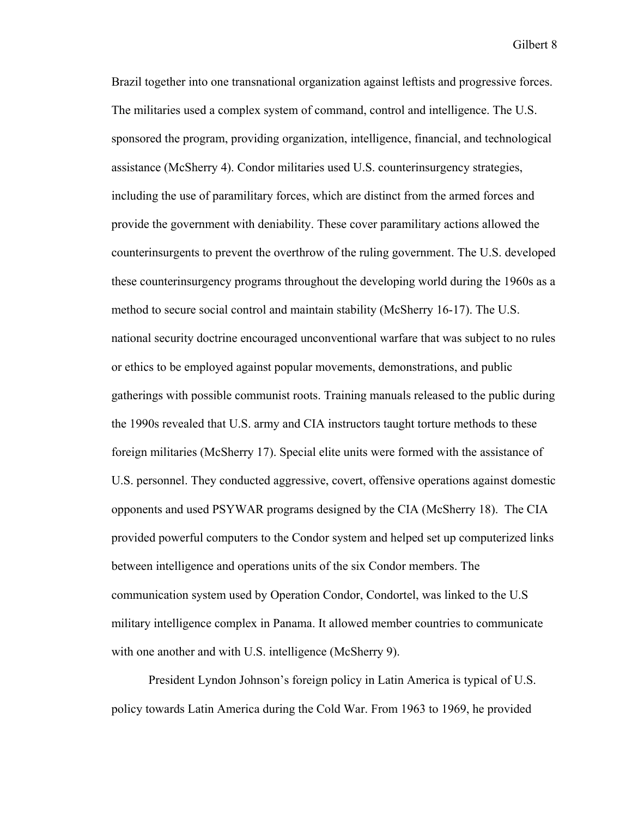Brazil together into one transnational organization against leftists and progressive forces. The militaries used a complex system of command, control and intelligence. The U.S. sponsored the program, providing organization, intelligence, financial, and technological assistance (McSherry 4). Condor militaries used U.S. counterinsurgency strategies, including the use of paramilitary forces, which are distinct from the armed forces and provide the government with deniability. These cover paramilitary actions allowed the counterinsurgents to prevent the overthrow of the ruling government. The U.S. developed these counterinsurgency programs throughout the developing world during the 1960s as a method to secure social control and maintain stability (McSherry 16-17). The U.S. national security doctrine encouraged unconventional warfare that was subject to no rules or ethics to be employed against popular movements, demonstrations, and public gatherings with possible communist roots. Training manuals released to the public during the 1990s revealed that U.S. army and CIA instructors taught torture methods to these foreign militaries (McSherry 17). Special elite units were formed with the assistance of U.S. personnel. They conducted aggressive, covert, offensive operations against domestic opponents and used PSYWAR programs designed by the CIA (McSherry 18). The CIA provided powerful computers to the Condor system and helped set up computerized links between intelligence and operations units of the six Condor members. The communication system used by Operation Condor, Condortel, was linked to the U.S military intelligence complex in Panama. It allowed member countries to communicate with one another and with U.S. intelligence (McSherry 9).

President Lyndon Johnson's foreign policy in Latin America is typical of U.S. policy towards Latin America during the Cold War. From 1963 to 1969, he provided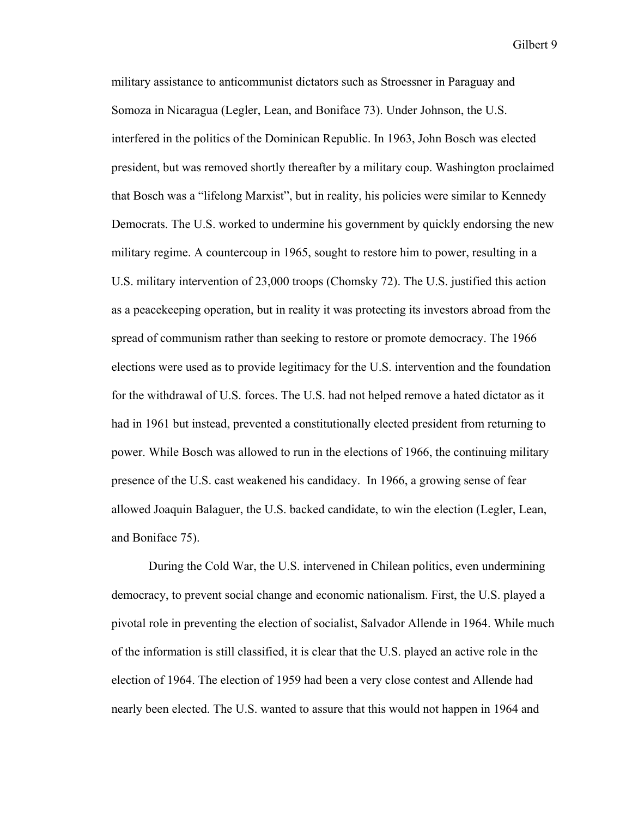military assistance to anticommunist dictators such as Stroessner in Paraguay and Somoza in Nicaragua (Legler, Lean, and Boniface 73). Under Johnson, the U.S. interfered in the politics of the Dominican Republic. In 1963, John Bosch was elected president, but was removed shortly thereafter by a military coup. Washington proclaimed that Bosch was a "lifelong Marxist", but in reality, his policies were similar to Kennedy Democrats. The U.S. worked to undermine his government by quickly endorsing the new military regime. A countercoup in 1965, sought to restore him to power, resulting in a U.S. military intervention of 23,000 troops (Chomsky 72). The U.S. justified this action as a peacekeeping operation, but in reality it was protecting its investors abroad from the spread of communism rather than seeking to restore or promote democracy. The 1966 elections were used as to provide legitimacy for the U.S. intervention and the foundation for the withdrawal of U.S. forces. The U.S. had not helped remove a hated dictator as it had in 1961 but instead, prevented a constitutionally elected president from returning to power. While Bosch was allowed to run in the elections of 1966, the continuing military presence of the U.S. cast weakened his candidacy. In 1966, a growing sense of fear allowed Joaquin Balaguer, the U.S. backed candidate, to win the election (Legler, Lean, and Boniface 75).

During the Cold War, the U.S. intervened in Chilean politics, even undermining democracy, to prevent social change and economic nationalism. First, the U.S. played a pivotal role in preventing the election of socialist, Salvador Allende in 1964. While much of the information is still classified, it is clear that the U.S. played an active role in the election of 1964. The election of 1959 had been a very close contest and Allende had nearly been elected. The U.S. wanted to assure that this would not happen in 1964 and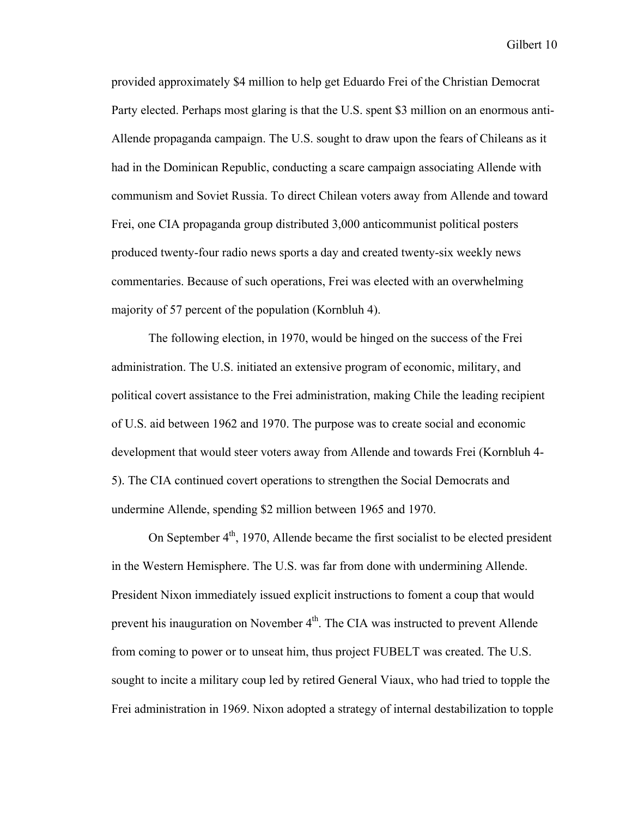provided approximately \$4 million to help get Eduardo Frei of the Christian Democrat Party elected. Perhaps most glaring is that the U.S. spent \$3 million on an enormous anti-Allende propaganda campaign. The U.S. sought to draw upon the fears of Chileans as it had in the Dominican Republic, conducting a scare campaign associating Allende with communism and Soviet Russia. To direct Chilean voters away from Allende and toward Frei, one CIA propaganda group distributed 3,000 anticommunist political posters produced twenty-four radio news sports a day and created twenty-six weekly news commentaries. Because of such operations, Frei was elected with an overwhelming majority of 57 percent of the population (Kornbluh 4).

The following election, in 1970, would be hinged on the success of the Frei administration. The U.S. initiated an extensive program of economic, military, and political covert assistance to the Frei administration, making Chile the leading recipient of U.S. aid between 1962 and 1970. The purpose was to create social and economic development that would steer voters away from Allende and towards Frei (Kornbluh 4- 5). The CIA continued covert operations to strengthen the Social Democrats and undermine Allende, spending \$2 million between 1965 and 1970.

On September  $4<sup>th</sup>$ , 1970, Allende became the first socialist to be elected president in the Western Hemisphere. The U.S. was far from done with undermining Allende. President Nixon immediately issued explicit instructions to foment a coup that would prevent his inauguration on November  $4<sup>th</sup>$ . The CIA was instructed to prevent Allende from coming to power or to unseat him, thus project FUBELT was created. The U.S. sought to incite a military coup led by retired General Viaux, who had tried to topple the Frei administration in 1969. Nixon adopted a strategy of internal destabilization to topple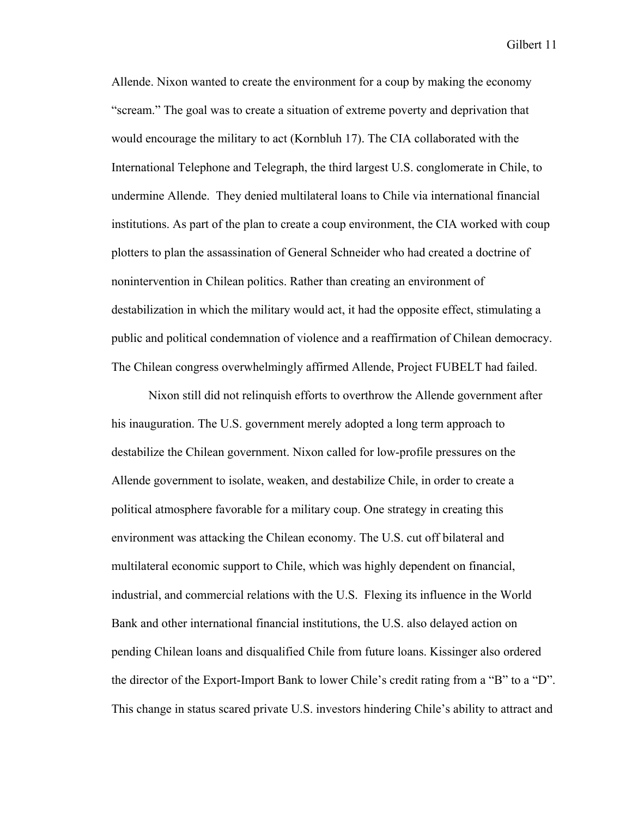Allende. Nixon wanted to create the environment for a coup by making the economy "scream." The goal was to create a situation of extreme poverty and deprivation that would encourage the military to act (Kornbluh 17). The CIA collaborated with the International Telephone and Telegraph, the third largest U.S. conglomerate in Chile, to undermine Allende. They denied multilateral loans to Chile via international financial institutions. As part of the plan to create a coup environment, the CIA worked with coup plotters to plan the assassination of General Schneider who had created a doctrine of nonintervention in Chilean politics. Rather than creating an environment of destabilization in which the military would act, it had the opposite effect, stimulating a public and political condemnation of violence and a reaffirmation of Chilean democracy. The Chilean congress overwhelmingly affirmed Allende, Project FUBELT had failed.

Nixon still did not relinquish efforts to overthrow the Allende government after his inauguration. The U.S. government merely adopted a long term approach to destabilize the Chilean government. Nixon called for low-profile pressures on the Allende government to isolate, weaken, and destabilize Chile, in order to create a political atmosphere favorable for a military coup. One strategy in creating this environment was attacking the Chilean economy. The U.S. cut off bilateral and multilateral economic support to Chile, which was highly dependent on financial, industrial, and commercial relations with the U.S. Flexing its influence in the World Bank and other international financial institutions, the U.S. also delayed action on pending Chilean loans and disqualified Chile from future loans. Kissinger also ordered the director of the Export-Import Bank to lower Chile's credit rating from a "B" to a "D". This change in status scared private U.S. investors hindering Chile's ability to attract and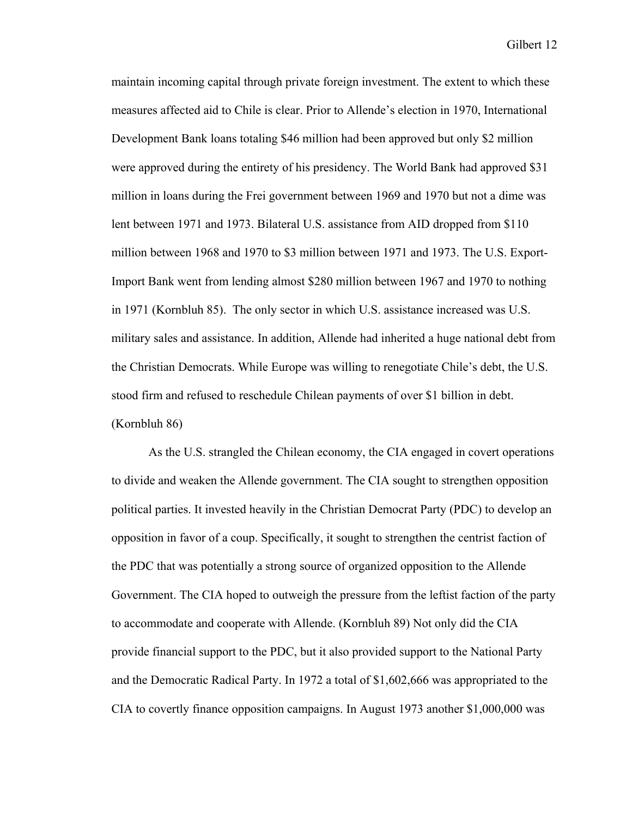maintain incoming capital through private foreign investment. The extent to which these measures affected aid to Chile is clear. Prior to Allende's election in 1970, International Development Bank loans totaling \$46 million had been approved but only \$2 million were approved during the entirety of his presidency. The World Bank had approved \$31 million in loans during the Frei government between 1969 and 1970 but not a dime was lent between 1971 and 1973. Bilateral U.S. assistance from AID dropped from \$110 million between 1968 and 1970 to \$3 million between 1971 and 1973. The U.S. Export-Import Bank went from lending almost \$280 million between 1967 and 1970 to nothing in 1971 (Kornbluh 85). The only sector in which U.S. assistance increased was U.S. military sales and assistance. In addition, Allende had inherited a huge national debt from the Christian Democrats. While Europe was willing to renegotiate Chile's debt, the U.S. stood firm and refused to reschedule Chilean payments of over \$1 billion in debt. (Kornbluh 86)

As the U.S. strangled the Chilean economy, the CIA engaged in covert operations to divide and weaken the Allende government. The CIA sought to strengthen opposition political parties. It invested heavily in the Christian Democrat Party (PDC) to develop an opposition in favor of a coup. Specifically, it sought to strengthen the centrist faction of the PDC that was potentially a strong source of organized opposition to the Allende Government. The CIA hoped to outweigh the pressure from the leftist faction of the party to accommodate and cooperate with Allende. (Kornbluh 89) Not only did the CIA provide financial support to the PDC, but it also provided support to the National Party and the Democratic Radical Party. In 1972 a total of \$1,602,666 was appropriated to the CIA to covertly finance opposition campaigns. In August 1973 another \$1,000,000 was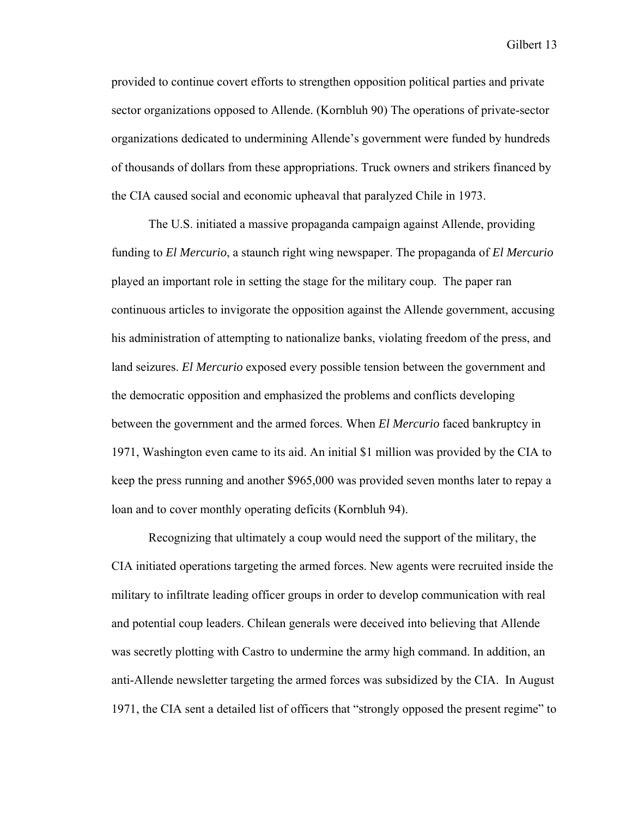provided to continue covert efforts to strengthen opposition political parties and private sector organizations opposed to Allende. (Kornbluh 90) The operations of private-sector organizations dedicated to undermining Allende's government were funded by hundreds of thousands of dollars from these appropriations. Truck owners and strikers financed by the CIA caused social and economic upheaval that paralyzed Chile in 1973.

The U.S. initiated a massive propaganda campaign against Allende, providing funding to *El Mercurio*, a staunch right wing newspaper. The propaganda of *El Mercurio*  played an important role in setting the stage for the military coup. The paper ran continuous articles to invigorate the opposition against the Allende government, accusing his administration of attempting to nationalize banks, violating freedom of the press, and land seizures. *El Mercurio* exposed every possible tension between the government and the democratic opposition and emphasized the problems and conflicts developing between the government and the armed forces. When *El Mercurio* faced bankruptcy in 1971, Washington even came to its aid. An initial \$1 million was provided by the CIA to keep the press running and another \$965,000 was provided seven months later to repay a loan and to cover monthly operating deficits (Kornbluh 94).

Recognizing that ultimately a coup would need the support of the military, the CIA initiated operations targeting the armed forces. New agents were recruited inside the military to infiltrate leading officer groups in order to develop communication with real and potential coup leaders. Chilean generals were deceived into believing that Allende was secretly plotting with Castro to undermine the army high command. In addition, an anti-Allende newsletter targeting the armed forces was subsidized by the CIA. In August 1971, the CIA sent a detailed list of officers that "strongly opposed the present regime" to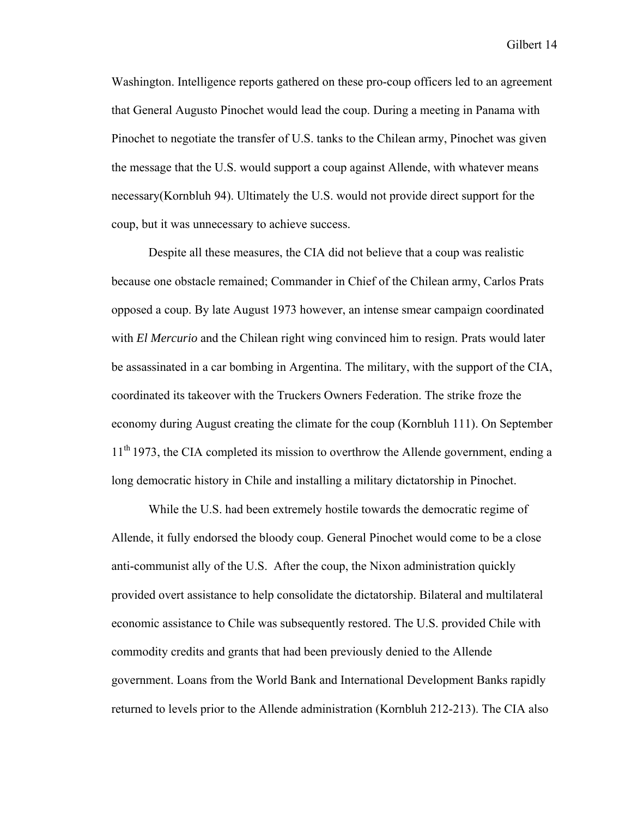Washington. Intelligence reports gathered on these pro-coup officers led to an agreement that General Augusto Pinochet would lead the coup. During a meeting in Panama with Pinochet to negotiate the transfer of U.S. tanks to the Chilean army, Pinochet was given the message that the U.S. would support a coup against Allende, with whatever means necessary(Kornbluh 94). Ultimately the U.S. would not provide direct support for the coup, but it was unnecessary to achieve success.

Despite all these measures, the CIA did not believe that a coup was realistic because one obstacle remained; Commander in Chief of the Chilean army, Carlos Prats opposed a coup. By late August 1973 however, an intense smear campaign coordinated with *El Mercurio* and the Chilean right wing convinced him to resign. Prats would later be assassinated in a car bombing in Argentina. The military, with the support of the CIA, coordinated its takeover with the Truckers Owners Federation. The strike froze the economy during August creating the climate for the coup (Kornbluh 111). On September  $11<sup>th</sup>$  1973, the CIA completed its mission to overthrow the Allende government, ending a long democratic history in Chile and installing a military dictatorship in Pinochet.

While the U.S. had been extremely hostile towards the democratic regime of Allende, it fully endorsed the bloody coup. General Pinochet would come to be a close anti-communist ally of the U.S. After the coup, the Nixon administration quickly provided overt assistance to help consolidate the dictatorship. Bilateral and multilateral economic assistance to Chile was subsequently restored. The U.S. provided Chile with commodity credits and grants that had been previously denied to the Allende government. Loans from the World Bank and International Development Banks rapidly returned to levels prior to the Allende administration (Kornbluh 212-213). The CIA also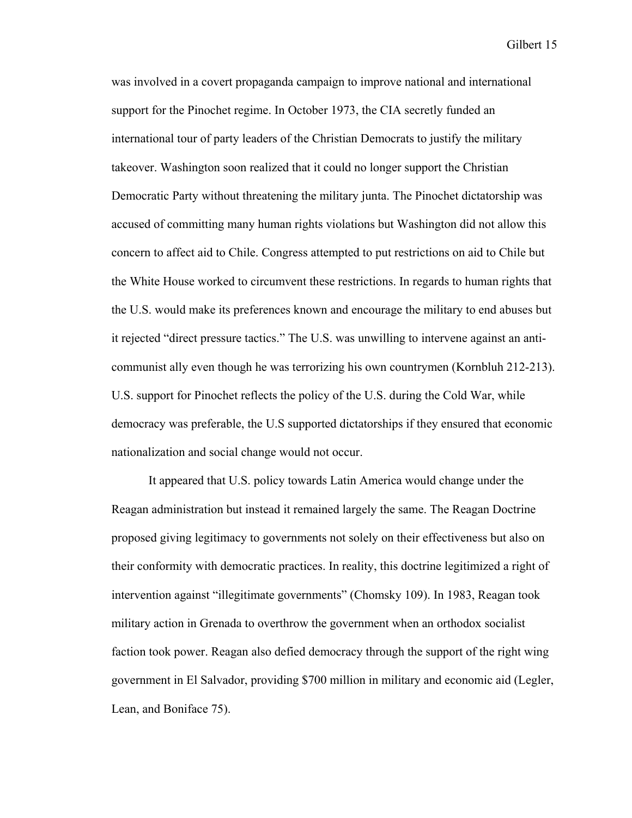was involved in a covert propaganda campaign to improve national and international support for the Pinochet regime. In October 1973, the CIA secretly funded an international tour of party leaders of the Christian Democrats to justify the military takeover. Washington soon realized that it could no longer support the Christian Democratic Party without threatening the military junta. The Pinochet dictatorship was accused of committing many human rights violations but Washington did not allow this concern to affect aid to Chile. Congress attempted to put restrictions on aid to Chile but the White House worked to circumvent these restrictions. In regards to human rights that the U.S. would make its preferences known and encourage the military to end abuses but it rejected "direct pressure tactics." The U.S. was unwilling to intervene against an anticommunist ally even though he was terrorizing his own countrymen (Kornbluh 212-213). U.S. support for Pinochet reflects the policy of the U.S. during the Cold War, while democracy was preferable, the U.S supported dictatorships if they ensured that economic nationalization and social change would not occur.

It appeared that U.S. policy towards Latin America would change under the Reagan administration but instead it remained largely the same. The Reagan Doctrine proposed giving legitimacy to governments not solely on their effectiveness but also on their conformity with democratic practices. In reality, this doctrine legitimized a right of intervention against "illegitimate governments" (Chomsky 109). In 1983, Reagan took military action in Grenada to overthrow the government when an orthodox socialist faction took power. Reagan also defied democracy through the support of the right wing government in El Salvador, providing \$700 million in military and economic aid (Legler, Lean, and Boniface 75).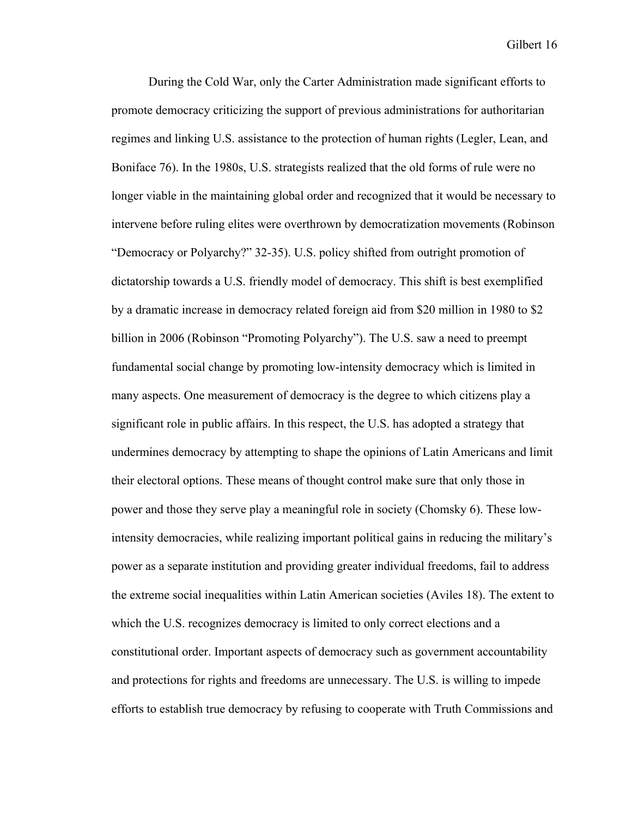During the Cold War, only the Carter Administration made significant efforts to promote democracy criticizing the support of previous administrations for authoritarian regimes and linking U.S. assistance to the protection of human rights (Legler, Lean, and Boniface 76). In the 1980s, U.S. strategists realized that the old forms of rule were no longer viable in the maintaining global order and recognized that it would be necessary to intervene before ruling elites were overthrown by democratization movements (Robinson "Democracy or Polyarchy?" 32-35). U.S. policy shifted from outright promotion of dictatorship towards a U.S. friendly model of democracy. This shift is best exemplified by a dramatic increase in democracy related foreign aid from \$20 million in 1980 to \$2 billion in 2006 (Robinson "Promoting Polyarchy"). The U.S. saw a need to preempt fundamental social change by promoting low-intensity democracy which is limited in many aspects. One measurement of democracy is the degree to which citizens play a significant role in public affairs. In this respect, the U.S. has adopted a strategy that undermines democracy by attempting to shape the opinions of Latin Americans and limit their electoral options. These means of thought control make sure that only those in power and those they serve play a meaningful role in society (Chomsky 6). These lowintensity democracies, while realizing important political gains in reducing the military's power as a separate institution and providing greater individual freedoms, fail to address the extreme social inequalities within Latin American societies (Aviles 18). The extent to which the U.S. recognizes democracy is limited to only correct elections and a constitutional order. Important aspects of democracy such as government accountability and protections for rights and freedoms are unnecessary. The U.S. is willing to impede efforts to establish true democracy by refusing to cooperate with Truth Commissions and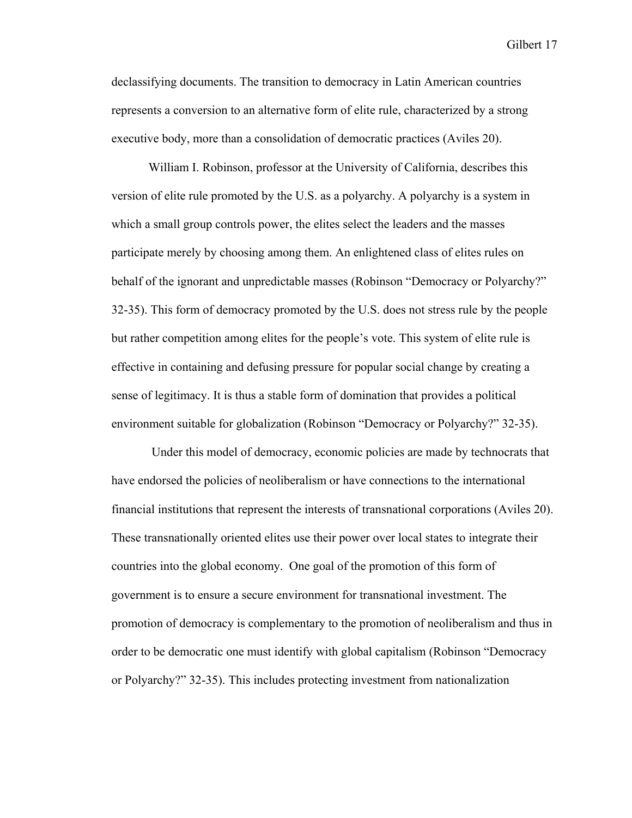declassifying documents. The transition to democracy in Latin American countries represents a conversion to an alternative form of elite rule, characterized by a strong executive body, more than a consolidation of democratic practices (Aviles 20).

William I. Robinson, professor at the University of California, describes this version of elite rule promoted by the U.S. as a polyarchy. A polyarchy is a system in which a small group controls power, the elites select the leaders and the masses participate merely by choosing among them. An enlightened class of elites rules on behalf of the ignorant and unpredictable masses (Robinson "Democracy or Polyarchy?" 32-35). This form of democracy promoted by the U.S. does not stress rule by the people but rather competition among elites for the people's vote. This system of elite rule is effective in containing and defusing pressure for popular social change by creating a sense of legitimacy. It is thus a stable form of domination that provides a political environment suitable for globalization (Robinson "Democracy or Polyarchy?" 32-35).

 Under this model of democracy, economic policies are made by technocrats that have endorsed the policies of neoliberalism or have connections to the international financial institutions that represent the interests of transnational corporations (Aviles 20). These transnationally oriented elites use their power over local states to integrate their countries into the global economy. One goal of the promotion of this form of government is to ensure a secure environment for transnational investment. The promotion of democracy is complementary to the promotion of neoliberalism and thus in order to be democratic one must identify with global capitalism (Robinson "Democracy or Polyarchy?" 32-35). This includes protecting investment from nationalization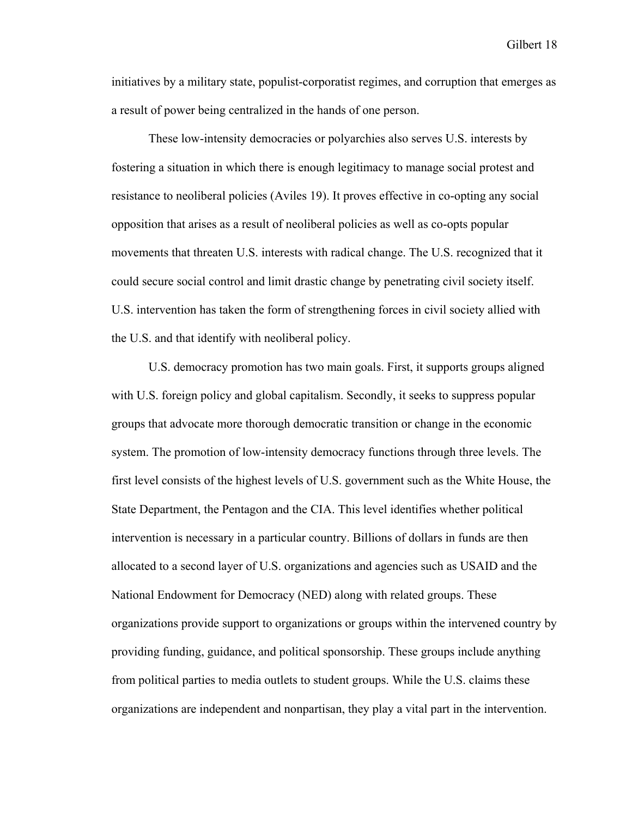initiatives by a military state, populist-corporatist regimes, and corruption that emerges as a result of power being centralized in the hands of one person.

These low-intensity democracies or polyarchies also serves U.S. interests by fostering a situation in which there is enough legitimacy to manage social protest and resistance to neoliberal policies (Aviles 19). It proves effective in co-opting any social opposition that arises as a result of neoliberal policies as well as co-opts popular movements that threaten U.S. interests with radical change. The U.S. recognized that it could secure social control and limit drastic change by penetrating civil society itself. U.S. intervention has taken the form of strengthening forces in civil society allied with the U.S. and that identify with neoliberal policy.

U.S. democracy promotion has two main goals. First, it supports groups aligned with U.S. foreign policy and global capitalism. Secondly, it seeks to suppress popular groups that advocate more thorough democratic transition or change in the economic system. The promotion of low-intensity democracy functions through three levels. The first level consists of the highest levels of U.S. government such as the White House, the State Department, the Pentagon and the CIA. This level identifies whether political intervention is necessary in a particular country. Billions of dollars in funds are then allocated to a second layer of U.S. organizations and agencies such as USAID and the National Endowment for Democracy (NED) along with related groups. These organizations provide support to organizations or groups within the intervened country by providing funding, guidance, and political sponsorship. These groups include anything from political parties to media outlets to student groups. While the U.S. claims these organizations are independent and nonpartisan, they play a vital part in the intervention.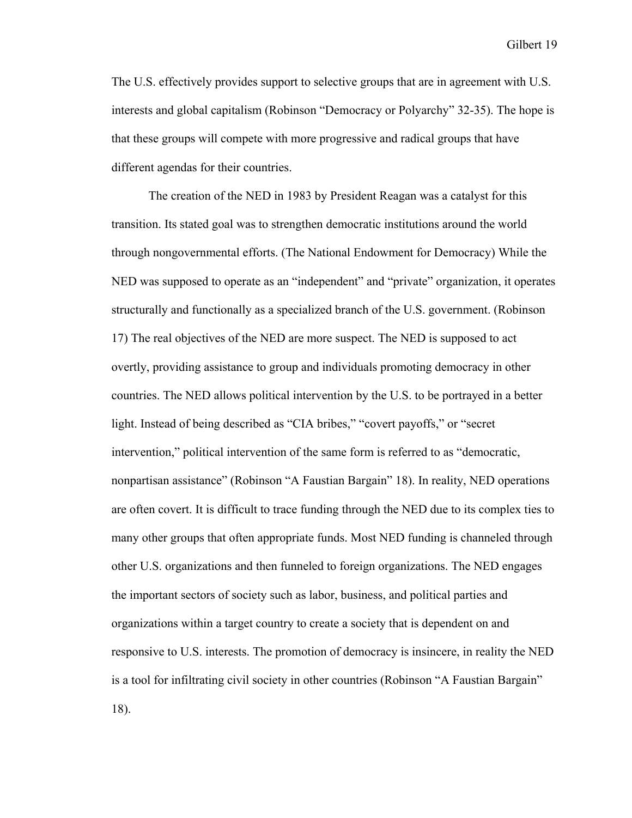The U.S. effectively provides support to selective groups that are in agreement with U.S. interests and global capitalism (Robinson "Democracy or Polyarchy" 32-35). The hope is that these groups will compete with more progressive and radical groups that have different agendas for their countries.

The creation of the NED in 1983 by President Reagan was a catalyst for this transition. Its stated goal was to strengthen democratic institutions around the world through nongovernmental efforts. (The National Endowment for Democracy) While the NED was supposed to operate as an "independent" and "private" organization, it operates structurally and functionally as a specialized branch of the U.S. government. (Robinson 17) The real objectives of the NED are more suspect. The NED is supposed to act overtly, providing assistance to group and individuals promoting democracy in other countries. The NED allows political intervention by the U.S. to be portrayed in a better light. Instead of being described as "CIA bribes," "covert payoffs," or "secret intervention," political intervention of the same form is referred to as "democratic, nonpartisan assistance" (Robinson "A Faustian Bargain" 18). In reality, NED operations are often covert. It is difficult to trace funding through the NED due to its complex ties to many other groups that often appropriate funds. Most NED funding is channeled through other U.S. organizations and then funneled to foreign organizations. The NED engages the important sectors of society such as labor, business, and political parties and organizations within a target country to create a society that is dependent on and responsive to U.S. interests. The promotion of democracy is insincere, in reality the NED is a tool for infiltrating civil society in other countries (Robinson "A Faustian Bargain" 18).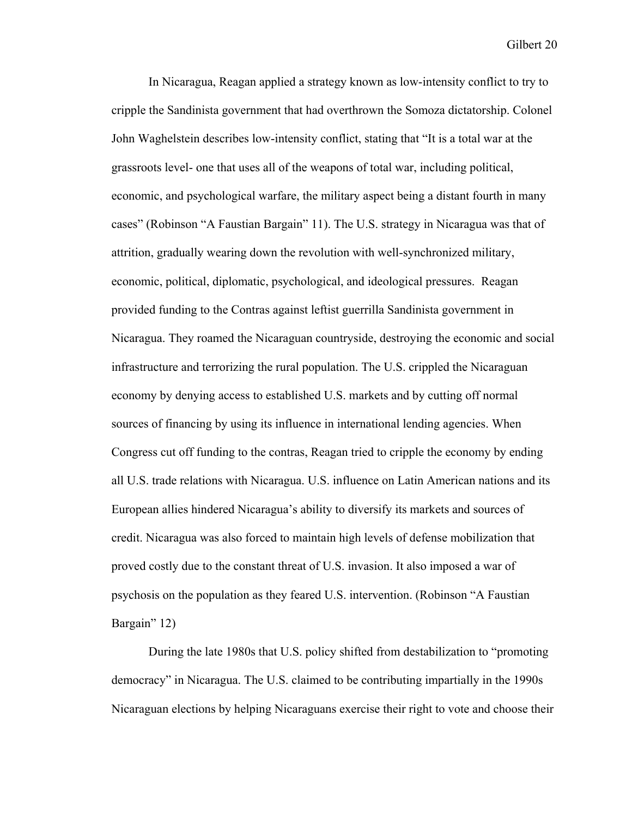In Nicaragua, Reagan applied a strategy known as low-intensity conflict to try to cripple the Sandinista government that had overthrown the Somoza dictatorship. Colonel John Waghelstein describes low-intensity conflict, stating that "It is a total war at the grassroots level- one that uses all of the weapons of total war, including political, economic, and psychological warfare, the military aspect being a distant fourth in many cases" (Robinson "A Faustian Bargain" 11). The U.S. strategy in Nicaragua was that of attrition, gradually wearing down the revolution with well-synchronized military, economic, political, diplomatic, psychological, and ideological pressures. Reagan provided funding to the Contras against leftist guerrilla Sandinista government in Nicaragua. They roamed the Nicaraguan countryside, destroying the economic and social infrastructure and terrorizing the rural population. The U.S. crippled the Nicaraguan economy by denying access to established U.S. markets and by cutting off normal sources of financing by using its influence in international lending agencies. When Congress cut off funding to the contras, Reagan tried to cripple the economy by ending all U.S. trade relations with Nicaragua. U.S. influence on Latin American nations and its European allies hindered Nicaragua's ability to diversify its markets and sources of credit. Nicaragua was also forced to maintain high levels of defense mobilization that proved costly due to the constant threat of U.S. invasion. It also imposed a war of psychosis on the population as they feared U.S. intervention. (Robinson "A Faustian Bargain" 12)

During the late 1980s that U.S. policy shifted from destabilization to "promoting democracy" in Nicaragua. The U.S. claimed to be contributing impartially in the 1990s Nicaraguan elections by helping Nicaraguans exercise their right to vote and choose their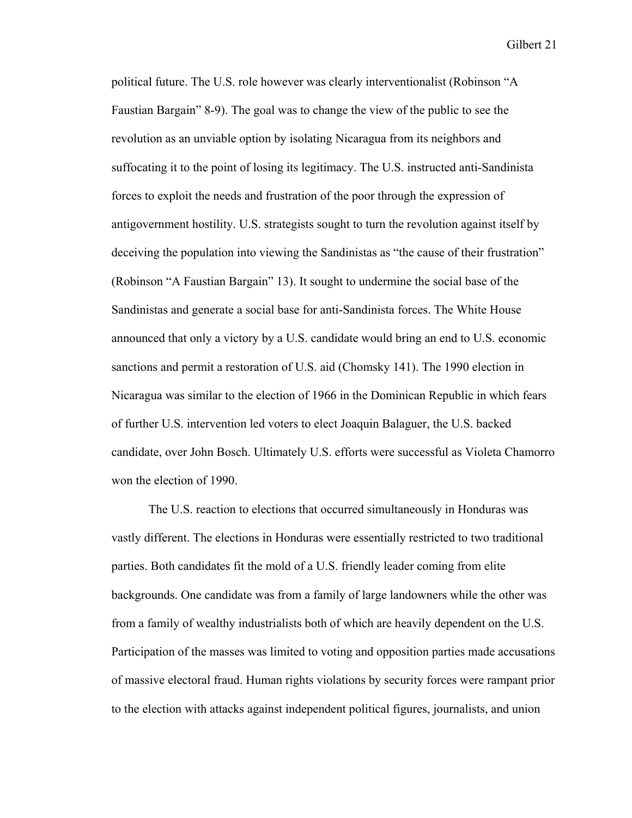political future. The U.S. role however was clearly interventionalist (Robinson "A Faustian Bargain" 8-9). The goal was to change the view of the public to see the revolution as an unviable option by isolating Nicaragua from its neighbors and suffocating it to the point of losing its legitimacy. The U.S. instructed anti-Sandinista forces to exploit the needs and frustration of the poor through the expression of antigovernment hostility. U.S. strategists sought to turn the revolution against itself by deceiving the population into viewing the Sandinistas as "the cause of their frustration" (Robinson "A Faustian Bargain" 13). It sought to undermine the social base of the Sandinistas and generate a social base for anti-Sandinista forces. The White House announced that only a victory by a U.S. candidate would bring an end to U.S. economic sanctions and permit a restoration of U.S. aid (Chomsky 141). The 1990 election in Nicaragua was similar to the election of 1966 in the Dominican Republic in which fears of further U.S. intervention led voters to elect Joaquin Balaguer, the U.S. backed candidate, over John Bosch. Ultimately U.S. efforts were successful as Violeta Chamorro won the election of 1990.

The U.S. reaction to elections that occurred simultaneously in Honduras was vastly different. The elections in Honduras were essentially restricted to two traditional parties. Both candidates fit the mold of a U.S. friendly leader coming from elite backgrounds. One candidate was from a family of large landowners while the other was from a family of wealthy industrialists both of which are heavily dependent on the U.S. Participation of the masses was limited to voting and opposition parties made accusations of massive electoral fraud. Human rights violations by security forces were rampant prior to the election with attacks against independent political figures, journalists, and union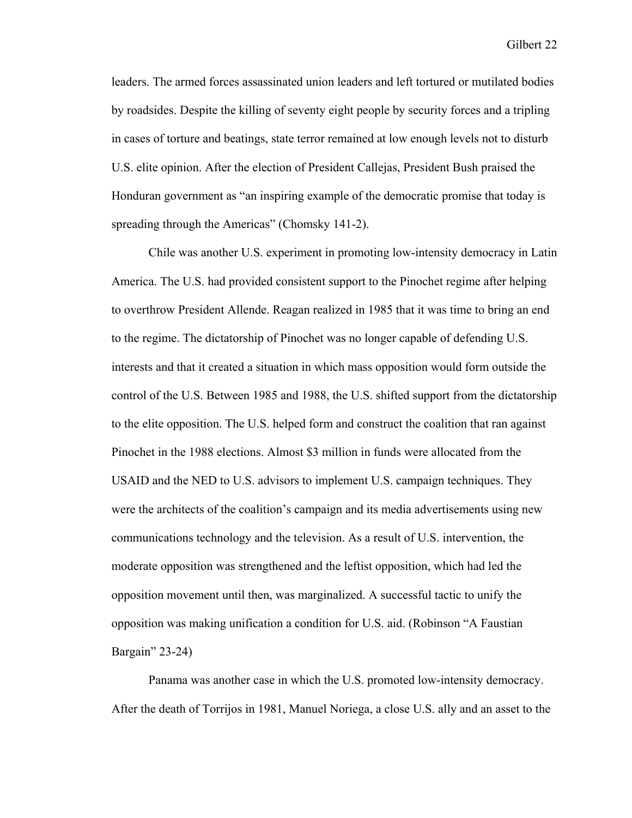leaders. The armed forces assassinated union leaders and left tortured or mutilated bodies by roadsides. Despite the killing of seventy eight people by security forces and a tripling in cases of torture and beatings, state terror remained at low enough levels not to disturb U.S. elite opinion. After the election of President Callejas, President Bush praised the Honduran government as "an inspiring example of the democratic promise that today is spreading through the Americas" (Chomsky 141-2).

Chile was another U.S. experiment in promoting low-intensity democracy in Latin America. The U.S. had provided consistent support to the Pinochet regime after helping to overthrow President Allende. Reagan realized in 1985 that it was time to bring an end to the regime. The dictatorship of Pinochet was no longer capable of defending U.S. interests and that it created a situation in which mass opposition would form outside the control of the U.S. Between 1985 and 1988, the U.S. shifted support from the dictatorship to the elite opposition. The U.S. helped form and construct the coalition that ran against Pinochet in the 1988 elections. Almost \$3 million in funds were allocated from the USAID and the NED to U.S. advisors to implement U.S. campaign techniques. They were the architects of the coalition's campaign and its media advertisements using new communications technology and the television. As a result of U.S. intervention, the moderate opposition was strengthened and the leftist opposition, which had led the opposition movement until then, was marginalized. A successful tactic to unify the opposition was making unification a condition for U.S. aid. (Robinson "A Faustian Bargain" 23-24)

Panama was another case in which the U.S. promoted low-intensity democracy. After the death of Torrijos in 1981, Manuel Noriega, a close U.S. ally and an asset to the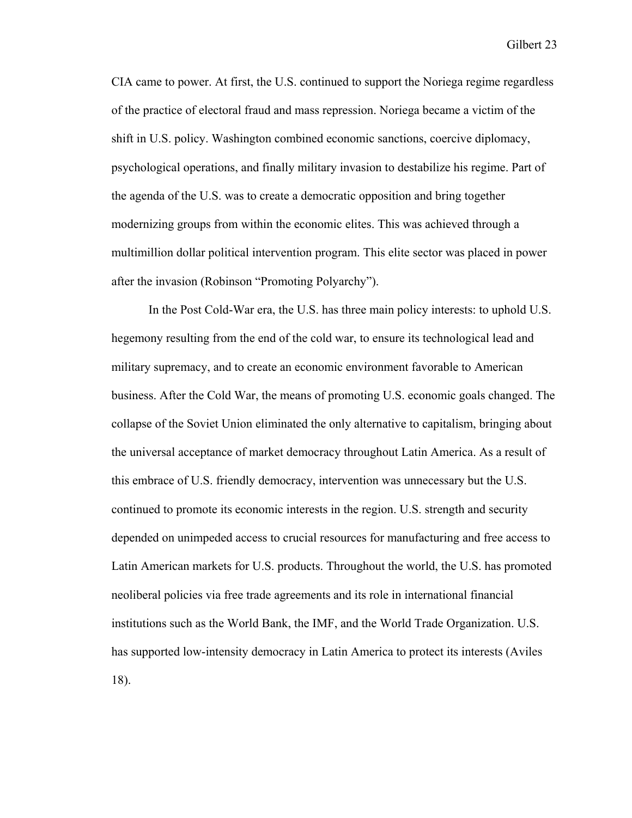CIA came to power. At first, the U.S. continued to support the Noriega regime regardless of the practice of electoral fraud and mass repression. Noriega became a victim of the shift in U.S. policy. Washington combined economic sanctions, coercive diplomacy, psychological operations, and finally military invasion to destabilize his regime. Part of the agenda of the U.S. was to create a democratic opposition and bring together modernizing groups from within the economic elites. This was achieved through a multimillion dollar political intervention program. This elite sector was placed in power after the invasion (Robinson "Promoting Polyarchy").

In the Post Cold-War era, the U.S. has three main policy interests: to uphold U.S. hegemony resulting from the end of the cold war, to ensure its technological lead and military supremacy, and to create an economic environment favorable to American business. After the Cold War, the means of promoting U.S. economic goals changed. The collapse of the Soviet Union eliminated the only alternative to capitalism, bringing about the universal acceptance of market democracy throughout Latin America. As a result of this embrace of U.S. friendly democracy, intervention was unnecessary but the U.S. continued to promote its economic interests in the region. U.S. strength and security depended on unimpeded access to crucial resources for manufacturing and free access to Latin American markets for U.S. products. Throughout the world, the U.S. has promoted neoliberal policies via free trade agreements and its role in international financial institutions such as the World Bank, the IMF, and the World Trade Organization. U.S. has supported low-intensity democracy in Latin America to protect its interests (Aviles 18).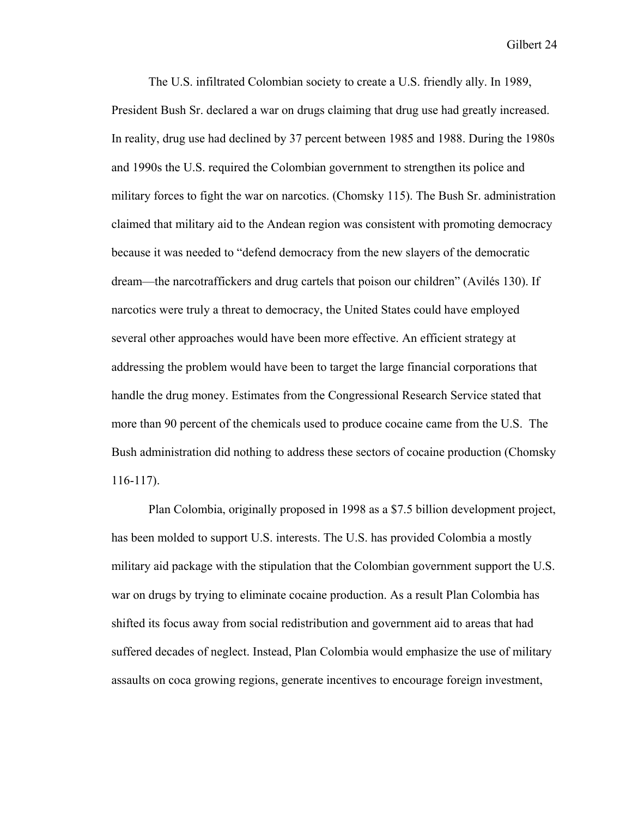The U.S. infiltrated Colombian society to create a U.S. friendly ally. In 1989, President Bush Sr. declared a war on drugs claiming that drug use had greatly increased. In reality, drug use had declined by 37 percent between 1985 and 1988. During the 1980s and 1990s the U.S. required the Colombian government to strengthen its police and military forces to fight the war on narcotics. (Chomsky 115). The Bush Sr. administration claimed that military aid to the Andean region was consistent with promoting democracy because it was needed to "defend democracy from the new slayers of the democratic dream—the narcotraffickers and drug cartels that poison our children" (Avilés 130). If narcotics were truly a threat to democracy, the United States could have employed several other approaches would have been more effective. An efficient strategy at addressing the problem would have been to target the large financial corporations that handle the drug money. Estimates from the Congressional Research Service stated that more than 90 percent of the chemicals used to produce cocaine came from the U.S. The Bush administration did nothing to address these sectors of cocaine production (Chomsky 116-117).

Plan Colombia, originally proposed in 1998 as a \$7.5 billion development project, has been molded to support U.S. interests. The U.S. has provided Colombia a mostly military aid package with the stipulation that the Colombian government support the U.S. war on drugs by trying to eliminate cocaine production. As a result Plan Colombia has shifted its focus away from social redistribution and government aid to areas that had suffered decades of neglect. Instead, Plan Colombia would emphasize the use of military assaults on coca growing regions, generate incentives to encourage foreign investment,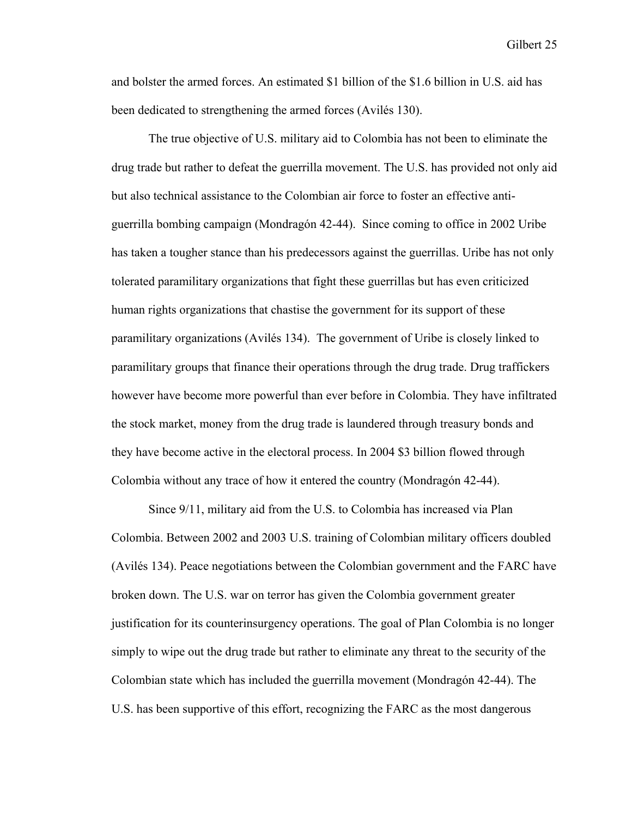and bolster the armed forces. An estimated \$1 billion of the \$1.6 billion in U.S. aid has been dedicated to strengthening the armed forces (Avilés 130).

The true objective of U.S. military aid to Colombia has not been to eliminate the drug trade but rather to defeat the guerrilla movement. The U.S. has provided not only aid but also technical assistance to the Colombian air force to foster an effective antiguerrilla bombing campaign (Mondragón 42-44). Since coming to office in 2002 Uribe has taken a tougher stance than his predecessors against the guerrillas. Uribe has not only tolerated paramilitary organizations that fight these guerrillas but has even criticized human rights organizations that chastise the government for its support of these paramilitary organizations (Avilés 134). The government of Uribe is closely linked to paramilitary groups that finance their operations through the drug trade. Drug traffickers however have become more powerful than ever before in Colombia. They have infiltrated the stock market, money from the drug trade is laundered through treasury bonds and they have become active in the electoral process. In 2004 \$3 billion flowed through Colombia without any trace of how it entered the country (Mondragón 42-44).

Since 9/11, military aid from the U.S. to Colombia has increased via Plan Colombia. Between 2002 and 2003 U.S. training of Colombian military officers doubled (Avilés 134). Peace negotiations between the Colombian government and the FARC have broken down. The U.S. war on terror has given the Colombia government greater justification for its counterinsurgency operations. The goal of Plan Colombia is no longer simply to wipe out the drug trade but rather to eliminate any threat to the security of the Colombian state which has included the guerrilla movement (Mondragón 42-44). The U.S. has been supportive of this effort, recognizing the FARC as the most dangerous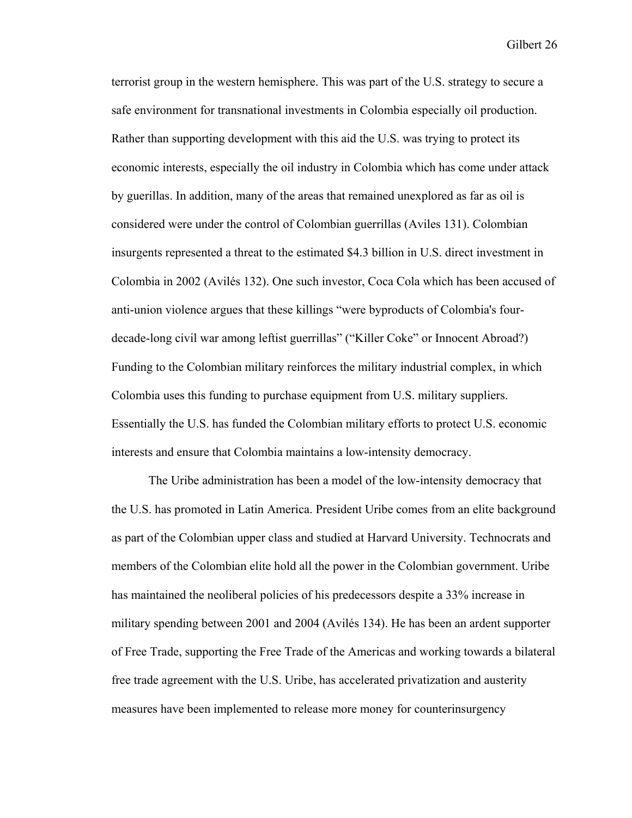terrorist group in the western hemisphere. This was part of the U.S. strategy to secure a safe environment for transnational investments in Colombia especially oil production. Rather than supporting development with this aid the U.S. was trying to protect its economic interests, especially the oil industry in Colombia which has come under attack by guerillas. In addition, many of the areas that remained unexplored as far as oil is considered were under the control of Colombian guerrillas (Aviles 131). Colombian insurgents represented a threat to the estimated \$4.3 billion in U.S. direct investment in Colombia in 2002 (Avilés 132). One such investor, Coca Cola which has been accused of anti-union violence argues that these killings "were byproducts of Colombia's fourdecade-long civil war among leftist guerrillas" ("Killer Coke" or Innocent Abroad?) Funding to the Colombian military reinforces the military industrial complex, in which Colombia uses this funding to purchase equipment from U.S. military suppliers. Essentially the U.S. has funded the Colombian military efforts to protect U.S. economic interests and ensure that Colombia maintains a low-intensity democracy.

The Uribe administration has been a model of the low-intensity democracy that the U.S. has promoted in Latin America. President Uribe comes from an elite background as part of the Colombian upper class and studied at Harvard University. Technocrats and members of the Colombian elite hold all the power in the Colombian government. Uribe has maintained the neoliberal policies of his predecessors despite a 33% increase in military spending between 2001 and 2004 (Avilés 134). He has been an ardent supporter of Free Trade, supporting the Free Trade of the Americas and working towards a bilateral free trade agreement with the U.S. Uribe, has accelerated privatization and austerity measures have been implemented to release more money for counterinsurgency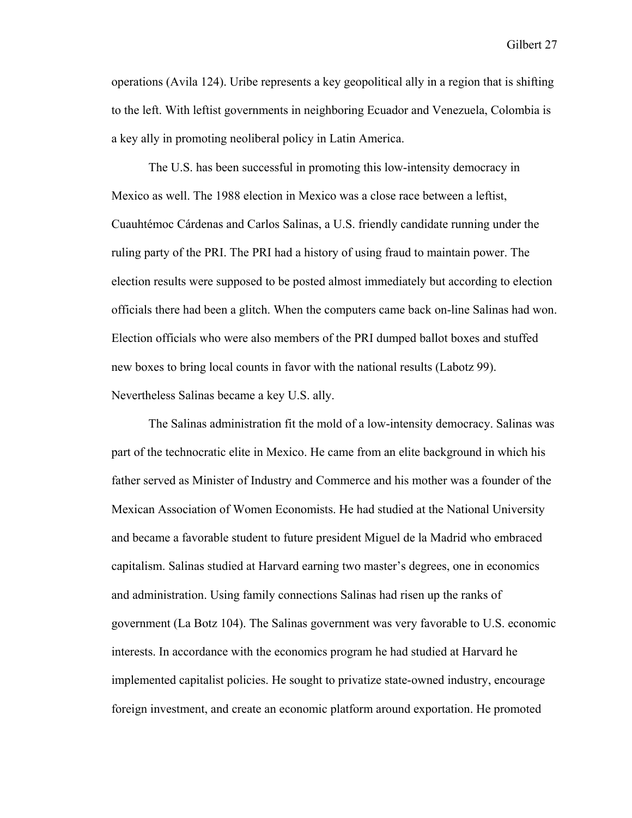operations (Avila 124). Uribe represents a key geopolitical ally in a region that is shifting to the left. With leftist governments in neighboring Ecuador and Venezuela, Colombia is a key ally in promoting neoliberal policy in Latin America.

The U.S. has been successful in promoting this low-intensity democracy in Mexico as well. The 1988 election in Mexico was a close race between a leftist, Cuauhtémoc Cárdenas and Carlos Salinas, a U.S. friendly candidate running under the ruling party of the PRI. The PRI had a history of using fraud to maintain power. The election results were supposed to be posted almost immediately but according to election officials there had been a glitch. When the computers came back on-line Salinas had won. Election officials who were also members of the PRI dumped ballot boxes and stuffed new boxes to bring local counts in favor with the national results (Labotz 99). Nevertheless Salinas became a key U.S. ally.

The Salinas administration fit the mold of a low-intensity democracy. Salinas was part of the technocratic elite in Mexico. He came from an elite background in which his father served as Minister of Industry and Commerce and his mother was a founder of the Mexican Association of Women Economists. He had studied at the National University and became a favorable student to future president Miguel de la Madrid who embraced capitalism. Salinas studied at Harvard earning two master's degrees, one in economics and administration. Using family connections Salinas had risen up the ranks of government (La Botz 104). The Salinas government was very favorable to U.S. economic interests. In accordance with the economics program he had studied at Harvard he implemented capitalist policies. He sought to privatize state-owned industry, encourage foreign investment, and create an economic platform around exportation. He promoted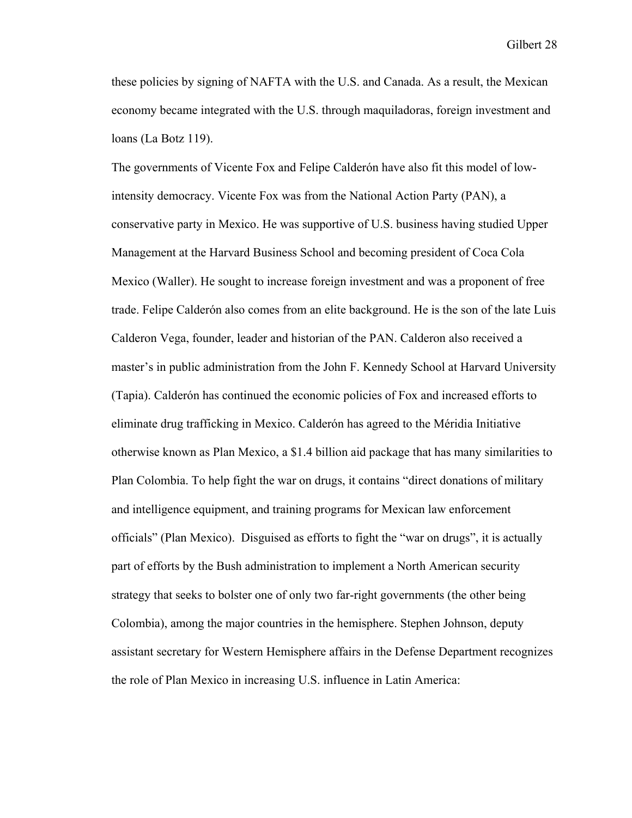these policies by signing of NAFTA with the U.S. and Canada. As a result, the Mexican economy became integrated with the U.S. through maquiladoras, foreign investment and loans (La Botz 119).

The governments of Vicente Fox and Felipe Calderón have also fit this model of lowintensity democracy. Vicente Fox was from the National Action Party (PAN), a conservative party in Mexico. He was supportive of U.S. business having studied Upper Management at the Harvard Business School and becoming president of Coca Cola Mexico (Waller). He sought to increase foreign investment and was a proponent of free trade. Felipe Calderón also comes from an elite background. He is the son of the late Luis Calderon Vega, founder, leader and historian of the PAN. Calderon also received a master's in public administration from the John F. Kennedy School at Harvard University (Tapia). Calderón has continued the economic policies of Fox and increased efforts to eliminate drug trafficking in Mexico. Calderón has agreed to the Méridia Initiative otherwise known as Plan Mexico, a \$1.4 billion aid package that has many similarities to Plan Colombia. To help fight the war on drugs, it contains "direct donations of military and intelligence equipment, and training programs for Mexican law enforcement officials" (Plan Mexico). Disguised as efforts to fight the "war on drugs", it is actually part of efforts by the Bush administration to implement a North American security strategy that seeks to bolster one of only two far-right governments (the other being Colombia), among the major countries in the hemisphere. Stephen Johnson, deputy assistant secretary for Western Hemisphere affairs in the Defense Department recognizes the role of Plan Mexico in increasing U.S. influence in Latin America: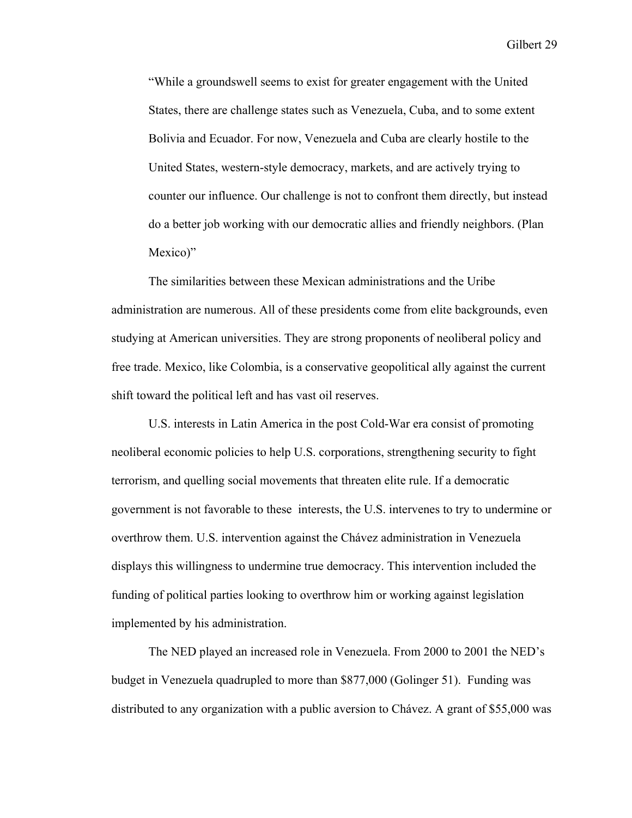"While a groundswell seems to exist for greater engagement with the United States, there are challenge states such as Venezuela, Cuba, and to some extent Bolivia and Ecuador. For now, Venezuela and Cuba are clearly hostile to the United States, western-style democracy, markets, and are actively trying to counter our influence. Our challenge is not to confront them directly, but instead do a better job working with our democratic allies and friendly neighbors. (Plan Mexico)"

The similarities between these Mexican administrations and the Uribe administration are numerous. All of these presidents come from elite backgrounds, even studying at American universities. They are strong proponents of neoliberal policy and free trade. Mexico, like Colombia, is a conservative geopolitical ally against the current shift toward the political left and has vast oil reserves.

U.S. interests in Latin America in the post Cold-War era consist of promoting neoliberal economic policies to help U.S. corporations, strengthening security to fight terrorism, and quelling social movements that threaten elite rule. If a democratic government is not favorable to these interests, the U.S. intervenes to try to undermine or overthrow them. U.S. intervention against the Chávez administration in Venezuela displays this willingness to undermine true democracy. This intervention included the funding of political parties looking to overthrow him or working against legislation implemented by his administration.

The NED played an increased role in Venezuela. From 2000 to 2001 the NED's budget in Venezuela quadrupled to more than \$877,000 (Golinger 51). Funding was distributed to any organization with a public aversion to Chávez. A grant of \$55,000 was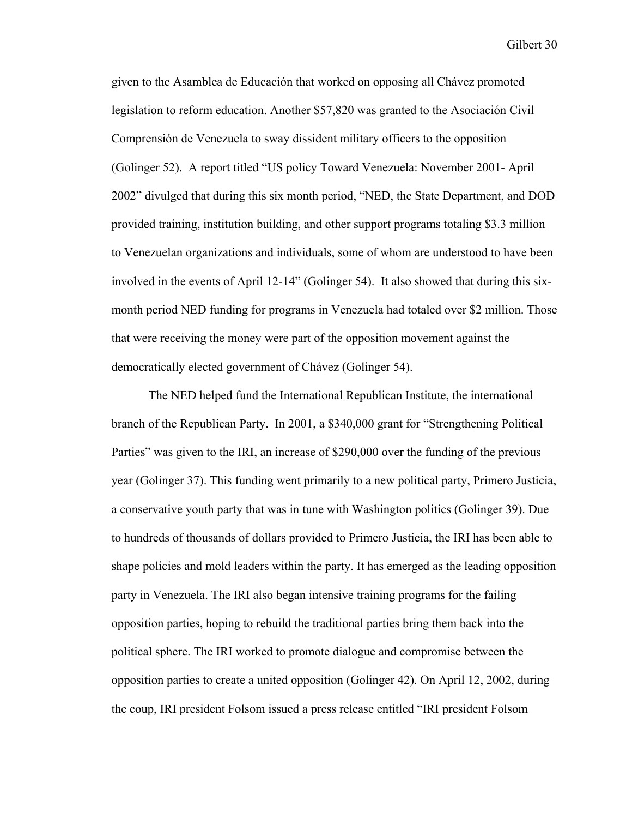given to the Asamblea de Educación that worked on opposing all Chávez promoted legislation to reform education. Another \$57,820 was granted to the Asociación Civil Comprensión de Venezuela to sway dissident military officers to the opposition (Golinger 52). A report titled "US policy Toward Venezuela: November 2001- April 2002" divulged that during this six month period, "NED, the State Department, and DOD provided training, institution building, and other support programs totaling \$3.3 million to Venezuelan organizations and individuals, some of whom are understood to have been involved in the events of April 12-14" (Golinger 54). It also showed that during this sixmonth period NED funding for programs in Venezuela had totaled over \$2 million. Those that were receiving the money were part of the opposition movement against the democratically elected government of Chávez (Golinger 54).

The NED helped fund the International Republican Institute, the international branch of the Republican Party. In 2001, a \$340,000 grant for "Strengthening Political Parties" was given to the IRI, an increase of \$290,000 over the funding of the previous year (Golinger 37). This funding went primarily to a new political party, Primero Justicia, a conservative youth party that was in tune with Washington politics (Golinger 39). Due to hundreds of thousands of dollars provided to Primero Justicia, the IRI has been able to shape policies and mold leaders within the party. It has emerged as the leading opposition party in Venezuela. The IRI also began intensive training programs for the failing opposition parties, hoping to rebuild the traditional parties bring them back into the political sphere. The IRI worked to promote dialogue and compromise between the opposition parties to create a united opposition (Golinger 42). On April 12, 2002, during the coup, IRI president Folsom issued a press release entitled "IRI president Folsom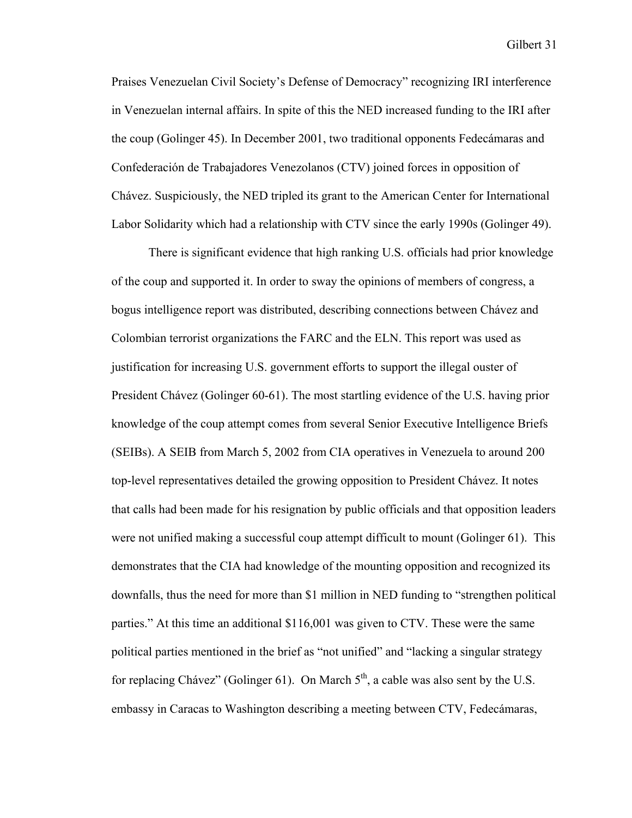Praises Venezuelan Civil Society's Defense of Democracy" recognizing IRI interference in Venezuelan internal affairs. In spite of this the NED increased funding to the IRI after the coup (Golinger 45). In December 2001, two traditional opponents Fedecámaras and Confederación de Trabajadores Venezolanos (CTV) joined forces in opposition of Chávez. Suspiciously, the NED tripled its grant to the American Center for International Labor Solidarity which had a relationship with CTV since the early 1990s (Golinger 49).

 There is significant evidence that high ranking U.S. officials had prior knowledge of the coup and supported it. In order to sway the opinions of members of congress, a bogus intelligence report was distributed, describing connections between Chávez and Colombian terrorist organizations the FARC and the ELN. This report was used as justification for increasing U.S. government efforts to support the illegal ouster of President Chávez (Golinger 60-61). The most startling evidence of the U.S. having prior knowledge of the coup attempt comes from several Senior Executive Intelligence Briefs (SEIBs). A SEIB from March 5, 2002 from CIA operatives in Venezuela to around 200 top-level representatives detailed the growing opposition to President Chávez. It notes that calls had been made for his resignation by public officials and that opposition leaders were not unified making a successful coup attempt difficult to mount (Golinger 61). This demonstrates that the CIA had knowledge of the mounting opposition and recognized its downfalls, thus the need for more than \$1 million in NED funding to "strengthen political parties." At this time an additional \$116,001 was given to CTV. These were the same political parties mentioned in the brief as "not unified" and "lacking a singular strategy for replacing Chávez" (Golinger 61). On March  $5<sup>th</sup>$ , a cable was also sent by the U.S. embassy in Caracas to Washington describing a meeting between CTV, Fedecámaras,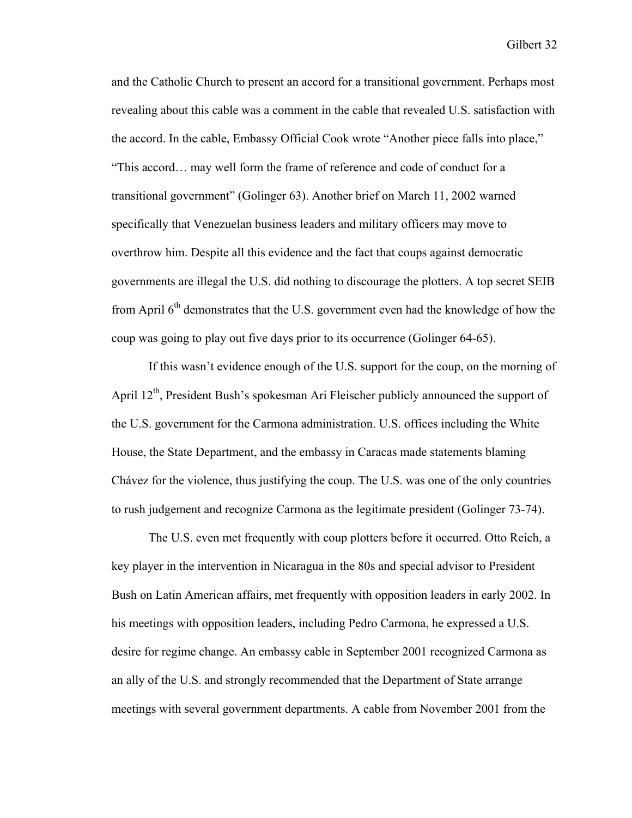and the Catholic Church to present an accord for a transitional government. Perhaps most revealing about this cable was a comment in the cable that revealed U.S. satisfaction with the accord. In the cable, Embassy Official Cook wrote "Another piece falls into place," "This accord… may well form the frame of reference and code of conduct for a transitional government" (Golinger 63). Another brief on March 11, 2002 warned specifically that Venezuelan business leaders and military officers may move to overthrow him. Despite all this evidence and the fact that coups against democratic governments are illegal the U.S. did nothing to discourage the plotters. A top secret SEIB from April 6<sup>th</sup> demonstrates that the U.S. government even had the knowledge of how the coup was going to play out five days prior to its occurrence (Golinger 64-65).

If this wasn't evidence enough of the U.S. support for the coup, on the morning of April  $12<sup>th</sup>$ , President Bush's spokesman Ari Fleischer publicly announced the support of the U.S. government for the Carmona administration. U.S. offices including the White House, the State Department, and the embassy in Caracas made statements blaming Chávez for the violence, thus justifying the coup. The U.S. was one of the only countries to rush judgement and recognize Carmona as the legitimate president (Golinger 73-74).

The U.S. even met frequently with coup plotters before it occurred. Otto Reich, a key player in the intervention in Nicaragua in the 80s and special advisor to President Bush on Latin American affairs, met frequently with opposition leaders in early 2002. In his meetings with opposition leaders, including Pedro Carmona, he expressed a U.S. desire for regime change. An embassy cable in September 2001 recognized Carmona as an ally of the U.S. and strongly recommended that the Department of State arrange meetings with several government departments. A cable from November 2001 from the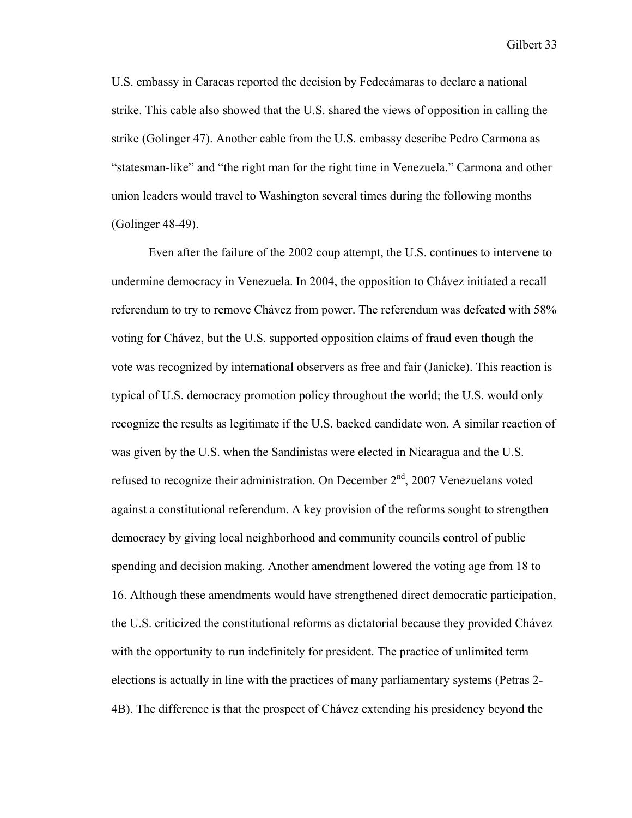U.S. embassy in Caracas reported the decision by Fedecámaras to declare a national strike. This cable also showed that the U.S. shared the views of opposition in calling the strike (Golinger 47). Another cable from the U.S. embassy describe Pedro Carmona as "statesman-like" and "the right man for the right time in Venezuela." Carmona and other union leaders would travel to Washington several times during the following months (Golinger 48-49).

Even after the failure of the 2002 coup attempt, the U.S. continues to intervene to undermine democracy in Venezuela. In 2004, the opposition to Chávez initiated a recall referendum to try to remove Chávez from power. The referendum was defeated with 58% voting for Chávez, but the U.S. supported opposition claims of fraud even though the vote was recognized by international observers as free and fair (Janicke). This reaction is typical of U.S. democracy promotion policy throughout the world; the U.S. would only recognize the results as legitimate if the U.S. backed candidate won. A similar reaction of was given by the U.S. when the Sandinistas were elected in Nicaragua and the U.S. refused to recognize their administration. On December  $2<sup>nd</sup>$ , 2007 Venezuelans voted against a constitutional referendum. A key provision of the reforms sought to strengthen democracy by giving local neighborhood and community councils control of public spending and decision making. Another amendment lowered the voting age from 18 to 16. Although these amendments would have strengthened direct democratic participation, the U.S. criticized the constitutional reforms as dictatorial because they provided Chávez with the opportunity to run indefinitely for president. The practice of unlimited term elections is actually in line with the practices of many parliamentary systems (Petras 2- 4B). The difference is that the prospect of Chávez extending his presidency beyond the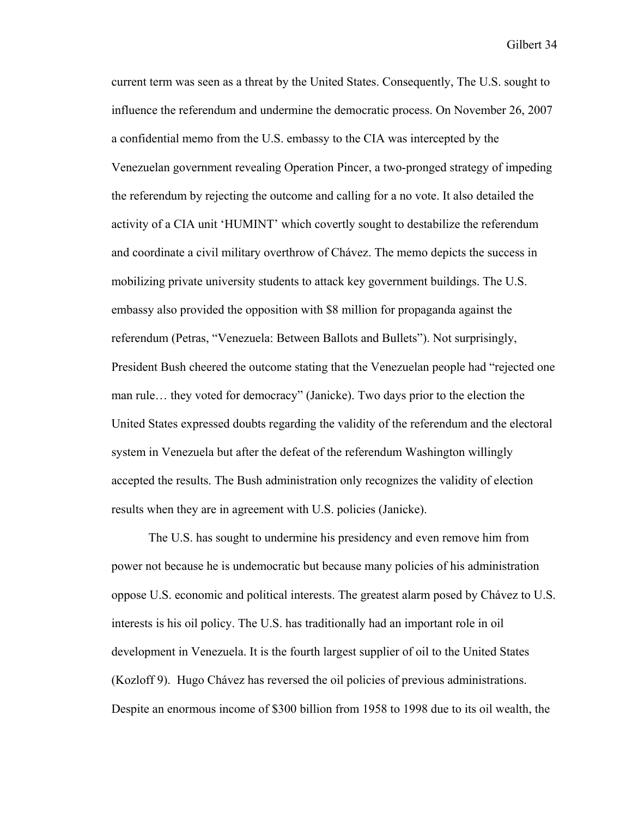current term was seen as a threat by the United States. Consequently, The U.S. sought to influence the referendum and undermine the democratic process. On November 26, 2007 a confidential memo from the U.S. embassy to the CIA was intercepted by the Venezuelan government revealing Operation Pincer, a two-pronged strategy of impeding the referendum by rejecting the outcome and calling for a no vote. It also detailed the activity of a CIA unit 'HUMINT' which covertly sought to destabilize the referendum and coordinate a civil military overthrow of Chávez. The memo depicts the success in mobilizing private university students to attack key government buildings. The U.S. embassy also provided the opposition with \$8 million for propaganda against the referendum (Petras, "Venezuela: Between Ballots and Bullets"). Not surprisingly, President Bush cheered the outcome stating that the Venezuelan people had "rejected one man rule… they voted for democracy" (Janicke). Two days prior to the election the United States expressed doubts regarding the validity of the referendum and the electoral system in Venezuela but after the defeat of the referendum Washington willingly accepted the results. The Bush administration only recognizes the validity of election results when they are in agreement with U.S. policies (Janicke).

The U.S. has sought to undermine his presidency and even remove him from power not because he is undemocratic but because many policies of his administration oppose U.S. economic and political interests. The greatest alarm posed by Chávez to U.S. interests is his oil policy. The U.S. has traditionally had an important role in oil development in Venezuela. It is the fourth largest supplier of oil to the United States (Kozloff 9). Hugo Chávez has reversed the oil policies of previous administrations. Despite an enormous income of \$300 billion from 1958 to 1998 due to its oil wealth, the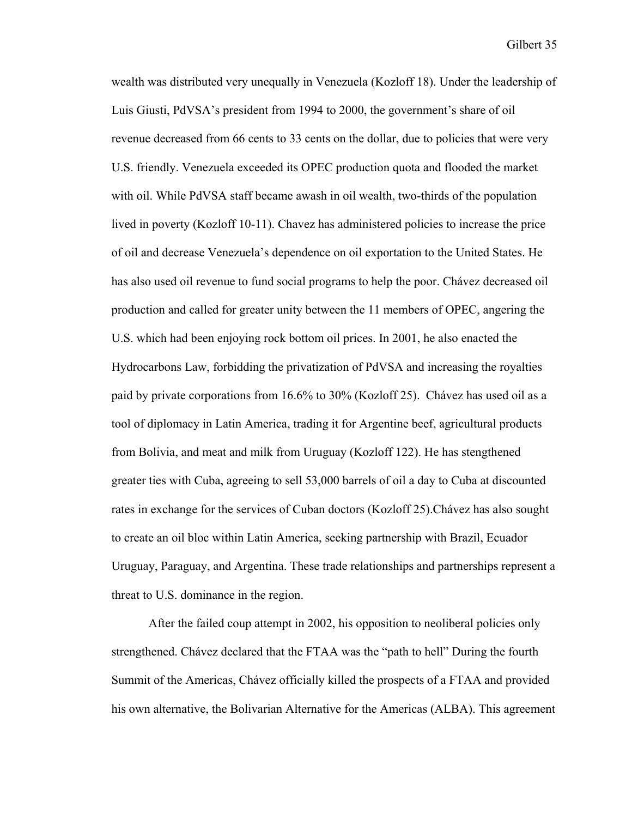wealth was distributed very unequally in Venezuela (Kozloff 18). Under the leadership of Luis Giusti, PdVSA's president from 1994 to 2000, the government's share of oil revenue decreased from 66 cents to 33 cents on the dollar, due to policies that were very U.S. friendly. Venezuela exceeded its OPEC production quota and flooded the market with oil. While PdVSA staff became awash in oil wealth, two-thirds of the population lived in poverty (Kozloff 10-11). Chavez has administered policies to increase the price of oil and decrease Venezuela's dependence on oil exportation to the United States. He has also used oil revenue to fund social programs to help the poor. Chávez decreased oil production and called for greater unity between the 11 members of OPEC, angering the U.S. which had been enjoying rock bottom oil prices. In 2001, he also enacted the Hydrocarbons Law, forbidding the privatization of PdVSA and increasing the royalties paid by private corporations from 16.6% to 30% (Kozloff 25). Chávez has used oil as a tool of diplomacy in Latin America, trading it for Argentine beef, agricultural products from Bolivia, and meat and milk from Uruguay (Kozloff 122). He has stengthened greater ties with Cuba, agreeing to sell 53,000 barrels of oil a day to Cuba at discounted rates in exchange for the services of Cuban doctors (Kozloff 25).Chávez has also sought to create an oil bloc within Latin America, seeking partnership with Brazil, Ecuador Uruguay, Paraguay, and Argentina. These trade relationships and partnerships represent a threat to U.S. dominance in the region.

After the failed coup attempt in 2002, his opposition to neoliberal policies only strengthened. Chávez declared that the FTAA was the "path to hell" During the fourth Summit of the Americas, Chávez officially killed the prospects of a FTAA and provided his own alternative, the Bolivarian Alternative for the Americas (ALBA). This agreement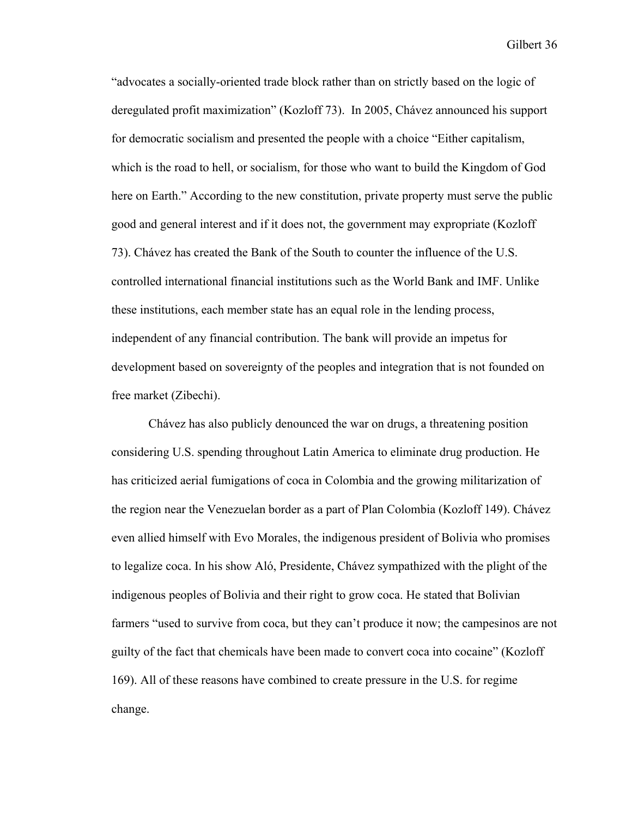"advocates a socially-oriented trade block rather than on strictly based on the logic of deregulated profit maximization" (Kozloff 73). In 2005, Chávez announced his support for democratic socialism and presented the people with a choice "Either capitalism, which is the road to hell, or socialism, for those who want to build the Kingdom of God here on Earth." According to the new constitution, private property must serve the public good and general interest and if it does not, the government may expropriate (Kozloff 73). Chávez has created the Bank of the South to counter the influence of the U.S. controlled international financial institutions such as the World Bank and IMF. Unlike these institutions, each member state has an equal role in the lending process, independent of any financial contribution. The bank will provide an impetus for development based on sovereignty of the peoples and integration that is not founded on free market (Zibechi).

Chávez has also publicly denounced the war on drugs, a threatening position considering U.S. spending throughout Latin America to eliminate drug production. He has criticized aerial fumigations of coca in Colombia and the growing militarization of the region near the Venezuelan border as a part of Plan Colombia (Kozloff 149). Chávez even allied himself with Evo Morales, the indigenous president of Bolivia who promises to legalize coca. In his show Aló, Presidente, Chávez sympathized with the plight of the indigenous peoples of Bolivia and their right to grow coca. He stated that Bolivian farmers "used to survive from coca, but they can't produce it now; the campesinos are not guilty of the fact that chemicals have been made to convert coca into cocaine" (Kozloff 169). All of these reasons have combined to create pressure in the U.S. for regime change.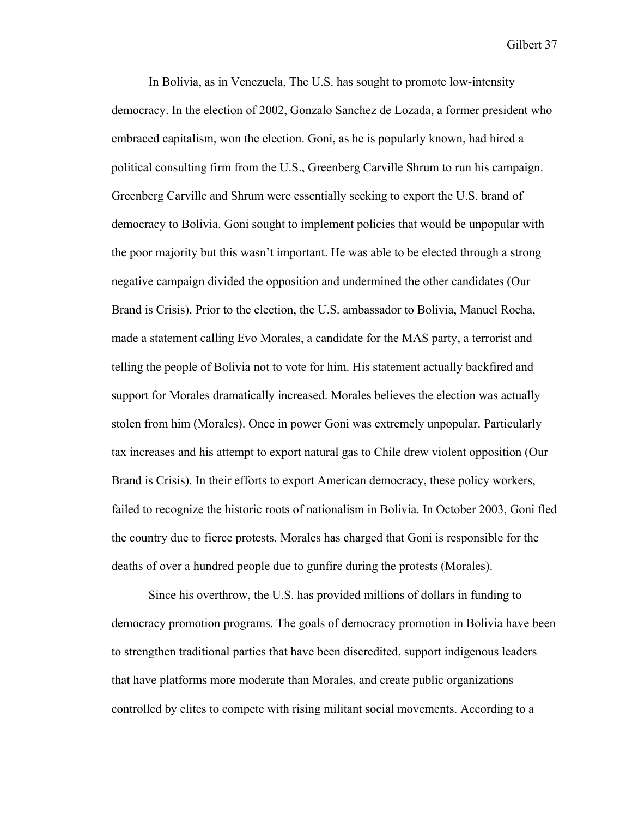In Bolivia, as in Venezuela, The U.S. has sought to promote low-intensity democracy. In the election of 2002, Gonzalo Sanchez de Lozada, a former president who embraced capitalism, won the election. Goni, as he is popularly known, had hired a political consulting firm from the U.S., Greenberg Carville Shrum to run his campaign. Greenberg Carville and Shrum were essentially seeking to export the U.S. brand of democracy to Bolivia. Goni sought to implement policies that would be unpopular with the poor majority but this wasn't important. He was able to be elected through a strong negative campaign divided the opposition and undermined the other candidates (Our Brand is Crisis). Prior to the election, the U.S. ambassador to Bolivia, Manuel Rocha, made a statement calling Evo Morales, a candidate for the MAS party, a terrorist and telling the people of Bolivia not to vote for him. His statement actually backfired and support for Morales dramatically increased. Morales believes the election was actually stolen from him (Morales). Once in power Goni was extremely unpopular. Particularly tax increases and his attempt to export natural gas to Chile drew violent opposition (Our Brand is Crisis). In their efforts to export American democracy, these policy workers, failed to recognize the historic roots of nationalism in Bolivia. In October 2003, Goni fled the country due to fierce protests. Morales has charged that Goni is responsible for the deaths of over a hundred people due to gunfire during the protests (Morales).

Since his overthrow, the U.S. has provided millions of dollars in funding to democracy promotion programs. The goals of democracy promotion in Bolivia have been to strengthen traditional parties that have been discredited, support indigenous leaders that have platforms more moderate than Morales, and create public organizations controlled by elites to compete with rising militant social movements. According to a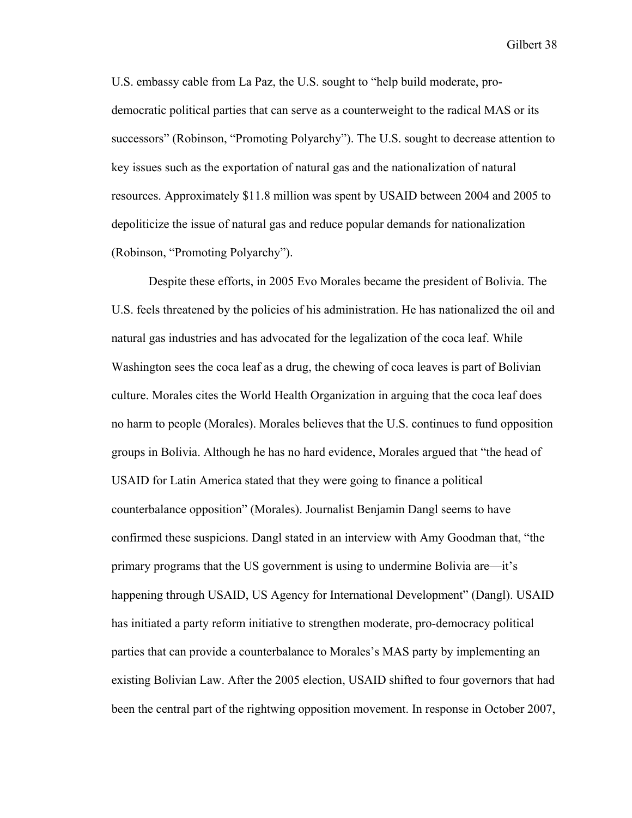U.S. embassy cable from La Paz, the U.S. sought to "help build moderate, prodemocratic political parties that can serve as a counterweight to the radical MAS or its successors" (Robinson, "Promoting Polyarchy"). The U.S. sought to decrease attention to key issues such as the exportation of natural gas and the nationalization of natural resources. Approximately \$11.8 million was spent by USAID between 2004 and 2005 to depoliticize the issue of natural gas and reduce popular demands for nationalization (Robinson, "Promoting Polyarchy").

Despite these efforts, in 2005 Evo Morales became the president of Bolivia. The U.S. feels threatened by the policies of his administration. He has nationalized the oil and natural gas industries and has advocated for the legalization of the coca leaf. While Washington sees the coca leaf as a drug, the chewing of coca leaves is part of Bolivian culture. Morales cites the World Health Organization in arguing that the coca leaf does no harm to people (Morales). Morales believes that the U.S. continues to fund opposition groups in Bolivia. Although he has no hard evidence, Morales argued that "the head of USAID for Latin America stated that they were going to finance a political counterbalance opposition" (Morales). Journalist Benjamin Dangl seems to have confirmed these suspicions. Dangl stated in an interview with Amy Goodman that, "the primary programs that the US government is using to undermine Bolivia are—it's happening through USAID, US Agency for International Development" (Dangl). USAID has initiated a party reform initiative to strengthen moderate, pro-democracy political parties that can provide a counterbalance to Morales's MAS party by implementing an existing Bolivian Law. After the 2005 election, USAID shifted to four governors that had been the central part of the rightwing opposition movement. In response in October 2007,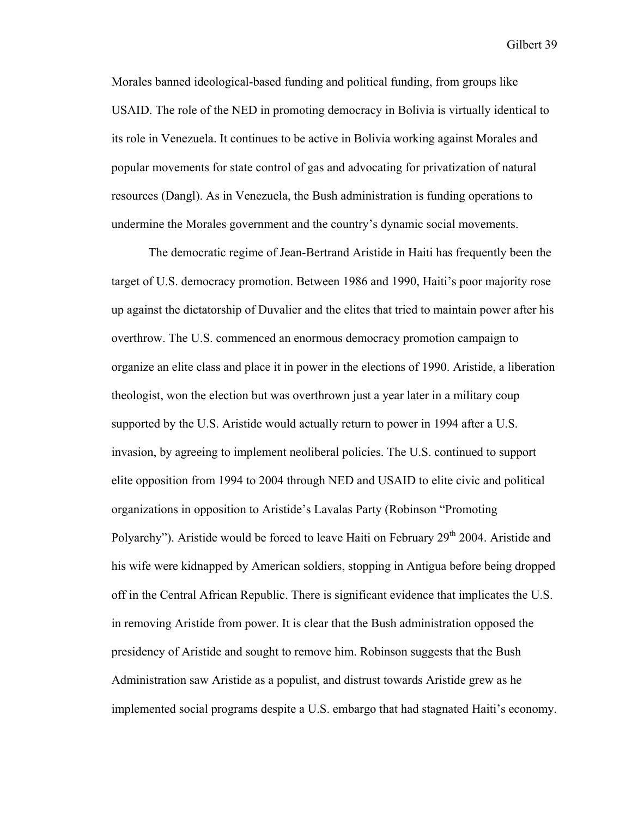Morales banned ideological-based funding and political funding, from groups like USAID. The role of the NED in promoting democracy in Bolivia is virtually identical to its role in Venezuela. It continues to be active in Bolivia working against Morales and popular movements for state control of gas and advocating for privatization of natural resources (Dangl). As in Venezuela, the Bush administration is funding operations to undermine the Morales government and the country's dynamic social movements.

The democratic regime of Jean-Bertrand Aristide in Haiti has frequently been the target of U.S. democracy promotion. Between 1986 and 1990, Haiti's poor majority rose up against the dictatorship of Duvalier and the elites that tried to maintain power after his overthrow. The U.S. commenced an enormous democracy promotion campaign to organize an elite class and place it in power in the elections of 1990. Aristide, a liberation theologist, won the election but was overthrown just a year later in a military coup supported by the U.S. Aristide would actually return to power in 1994 after a U.S. invasion, by agreeing to implement neoliberal policies. The U.S. continued to support elite opposition from 1994 to 2004 through NED and USAID to elite civic and political organizations in opposition to Aristide's Lavalas Party (Robinson "Promoting Polyarchy"). Aristide would be forced to leave Haiti on February 29<sup>th</sup> 2004. Aristide and his wife were kidnapped by American soldiers, stopping in Antigua before being dropped off in the Central African Republic. There is significant evidence that implicates the U.S. in removing Aristide from power. It is clear that the Bush administration opposed the presidency of Aristide and sought to remove him. Robinson suggests that the Bush Administration saw Aristide as a populist, and distrust towards Aristide grew as he implemented social programs despite a U.S. embargo that had stagnated Haiti's economy.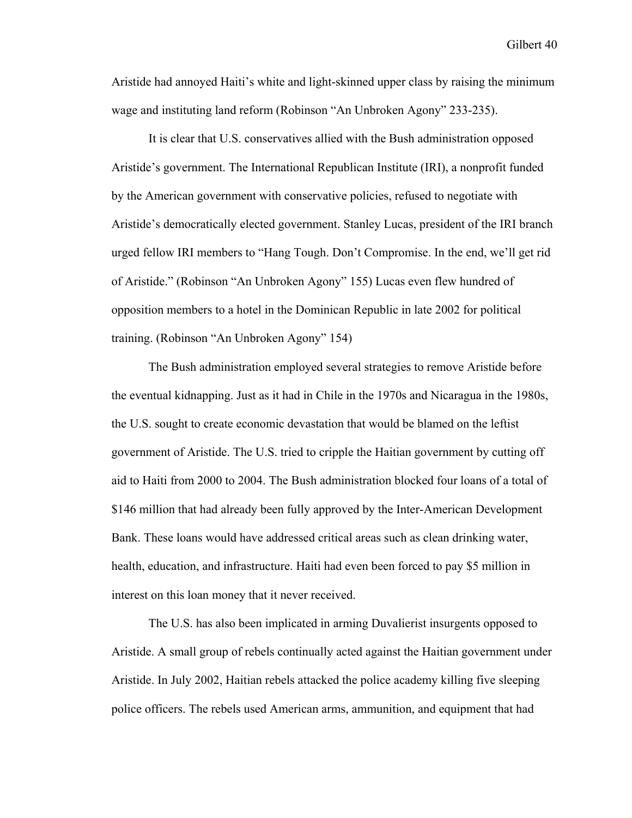Aristide had annoyed Haiti's white and light-skinned upper class by raising the minimum wage and instituting land reform (Robinson "An Unbroken Agony" 233-235).

It is clear that U.S. conservatives allied with the Bush administration opposed Aristide's government. The International Republican Institute (IRI), a nonprofit funded by the American government with conservative policies, refused to negotiate with Aristide's democratically elected government. Stanley Lucas, president of the IRI branch urged fellow IRI members to "Hang Tough. Don't Compromise. In the end, we'll get rid of Aristide." (Robinson "An Unbroken Agony" 155) Lucas even flew hundred of opposition members to a hotel in the Dominican Republic in late 2002 for political training. (Robinson "An Unbroken Agony" 154)

The Bush administration employed several strategies to remove Aristide before the eventual kidnapping. Just as it had in Chile in the 1970s and Nicaragua in the 1980s, the U.S. sought to create economic devastation that would be blamed on the leftist government of Aristide. The U.S. tried to cripple the Haitian government by cutting off aid to Haiti from 2000 to 2004. The Bush administration blocked four loans of a total of \$146 million that had already been fully approved by the Inter-American Development Bank. These loans would have addressed critical areas such as clean drinking water, health, education, and infrastructure. Haiti had even been forced to pay \$5 million in interest on this loan money that it never received.

The U.S. has also been implicated in arming Duvalierist insurgents opposed to Aristide. A small group of rebels continually acted against the Haitian government under Aristide. In July 2002, Haitian rebels attacked the police academy killing five sleeping police officers. The rebels used American arms, ammunition, and equipment that had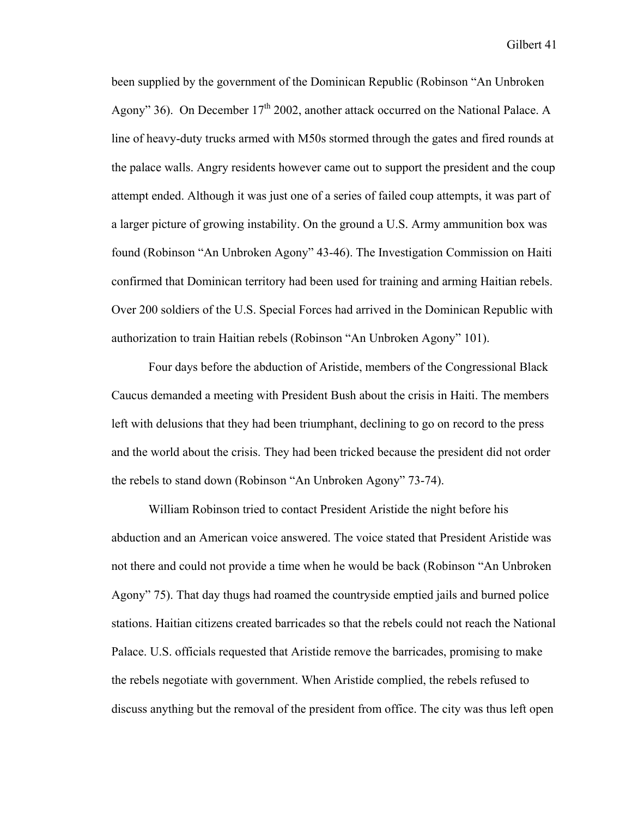been supplied by the government of the Dominican Republic (Robinson "An Unbroken Agony" 36). On December  $17<sup>th</sup> 2002$ , another attack occurred on the National Palace. A line of heavy-duty trucks armed with M50s stormed through the gates and fired rounds at the palace walls. Angry residents however came out to support the president and the coup attempt ended. Although it was just one of a series of failed coup attempts, it was part of a larger picture of growing instability. On the ground a U.S. Army ammunition box was found (Robinson "An Unbroken Agony" 43-46). The Investigation Commission on Haiti confirmed that Dominican territory had been used for training and arming Haitian rebels. Over 200 soldiers of the U.S. Special Forces had arrived in the Dominican Republic with authorization to train Haitian rebels (Robinson "An Unbroken Agony" 101).

 Four days before the abduction of Aristide, members of the Congressional Black Caucus demanded a meeting with President Bush about the crisis in Haiti. The members left with delusions that they had been triumphant, declining to go on record to the press and the world about the crisis. They had been tricked because the president did not order the rebels to stand down (Robinson "An Unbroken Agony" 73-74).

 William Robinson tried to contact President Aristide the night before his abduction and an American voice answered. The voice stated that President Aristide was not there and could not provide a time when he would be back (Robinson "An Unbroken Agony" 75). That day thugs had roamed the countryside emptied jails and burned police stations. Haitian citizens created barricades so that the rebels could not reach the National Palace. U.S. officials requested that Aristide remove the barricades, promising to make the rebels negotiate with government. When Aristide complied, the rebels refused to discuss anything but the removal of the president from office. The city was thus left open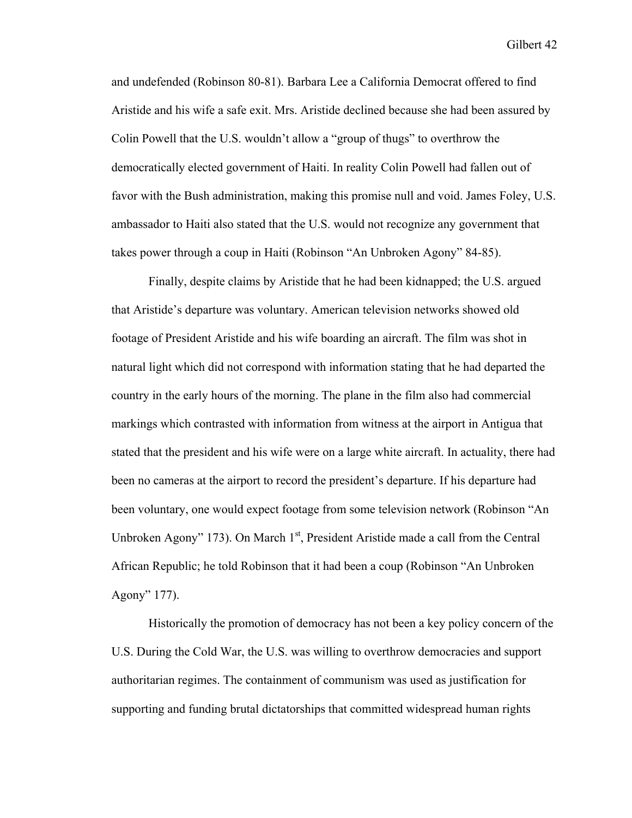and undefended (Robinson 80-81). Barbara Lee a California Democrat offered to find Aristide and his wife a safe exit. Mrs. Aristide declined because she had been assured by Colin Powell that the U.S. wouldn't allow a "group of thugs" to overthrow the democratically elected government of Haiti. In reality Colin Powell had fallen out of favor with the Bush administration, making this promise null and void. James Foley, U.S. ambassador to Haiti also stated that the U.S. would not recognize any government that takes power through a coup in Haiti (Robinson "An Unbroken Agony" 84-85).

Finally, despite claims by Aristide that he had been kidnapped; the U.S. argued that Aristide's departure was voluntary. American television networks showed old footage of President Aristide and his wife boarding an aircraft. The film was shot in natural light which did not correspond with information stating that he had departed the country in the early hours of the morning. The plane in the film also had commercial markings which contrasted with information from witness at the airport in Antigua that stated that the president and his wife were on a large white aircraft. In actuality, there had been no cameras at the airport to record the president's departure. If his departure had been voluntary, one would expect footage from some television network (Robinson "An Unbroken Agony" 173). On March  $1<sup>st</sup>$ , President Aristide made a call from the Central African Republic; he told Robinson that it had been a coup (Robinson "An Unbroken Agony" 177).

Historically the promotion of democracy has not been a key policy concern of the U.S. During the Cold War, the U.S. was willing to overthrow democracies and support authoritarian regimes. The containment of communism was used as justification for supporting and funding brutal dictatorships that committed widespread human rights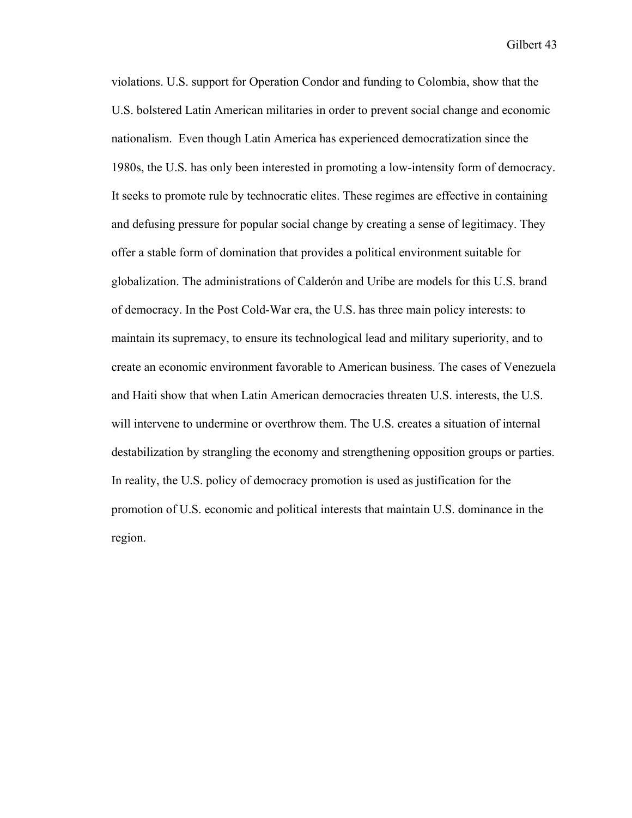violations. U.S. support for Operation Condor and funding to Colombia, show that the U.S. bolstered Latin American militaries in order to prevent social change and economic nationalism. Even though Latin America has experienced democratization since the 1980s, the U.S. has only been interested in promoting a low-intensity form of democracy. It seeks to promote rule by technocratic elites. These regimes are effective in containing and defusing pressure for popular social change by creating a sense of legitimacy. They offer a stable form of domination that provides a political environment suitable for globalization. The administrations of Calderón and Uribe are models for this U.S. brand of democracy. In the Post Cold-War era, the U.S. has three main policy interests: to maintain its supremacy, to ensure its technological lead and military superiority, and to create an economic environment favorable to American business. The cases of Venezuela and Haiti show that when Latin American democracies threaten U.S. interests, the U.S. will intervene to undermine or overthrow them. The U.S. creates a situation of internal destabilization by strangling the economy and strengthening opposition groups or parties. In reality, the U.S. policy of democracy promotion is used as justification for the promotion of U.S. economic and political interests that maintain U.S. dominance in the region.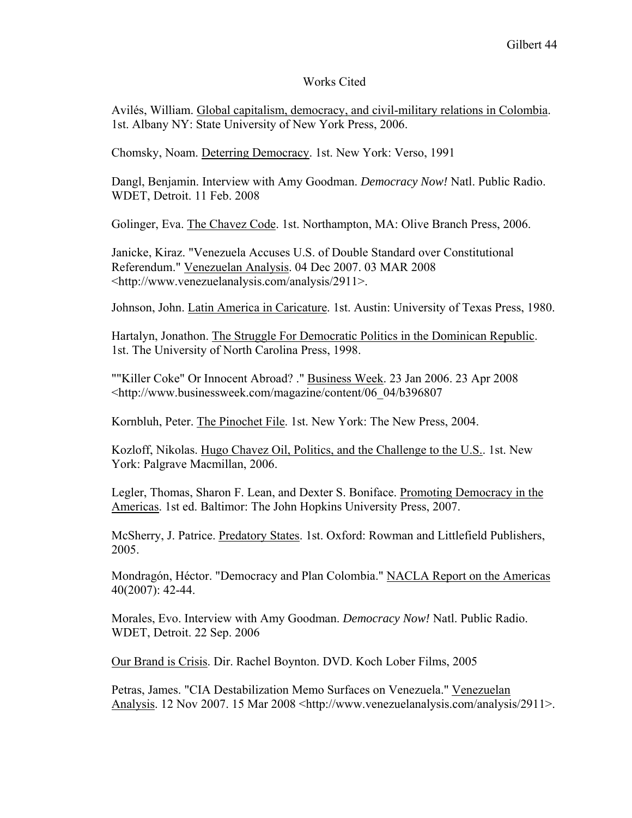#### Works Cited

Avilés, William. Global capitalism, democracy, and civil-military relations in Colombia. 1st. Albany NY: State University of New York Press, 2006.

Chomsky, Noam. Deterring Democracy. 1st. New York: Verso, 1991

Dangl, Benjamin. Interview with Amy Goodman. *Democracy Now!* Natl. Public Radio. WDET, Detroit. 11 Feb. 2008

Golinger, Eva. The Chavez Code. 1st. Northampton, MA: Olive Branch Press, 2006.

Janicke, Kiraz. "Venezuela Accuses U.S. of Double Standard over Constitutional Referendum." Venezuelan Analysis. 04 Dec 2007. 03 MAR 2008 <http://www.venezuelanalysis.com/analysis/2911>.

Johnson, John. Latin America in Caricature. 1st. Austin: University of Texas Press, 1980.

Hartalyn, Jonathon. The Struggle For Democratic Politics in the Dominican Republic. 1st. The University of North Carolina Press, 1998.

""Killer Coke" Or Innocent Abroad? ." Business Week. 23 Jan 2006. 23 Apr 2008 <http://www.businessweek.com/magazine/content/06\_04/b396807

Kornbluh, Peter. The Pinochet File. 1st. New York: The New Press, 2004.

Kozloff, Nikolas. Hugo Chavez Oil, Politics, and the Challenge to the U.S.. 1st. New York: Palgrave Macmillan, 2006.

Legler, Thomas, Sharon F. Lean, and Dexter S. Boniface. Promoting Democracy in the Americas. 1st ed. Baltimor: The John Hopkins University Press, 2007.

McSherry, J. Patrice. Predatory States. 1st. Oxford: Rowman and Littlefield Publishers, 2005.

Mondragón, Héctor. "Democracy and Plan Colombia." NACLA Report on the Americas 40(2007): 42-44.

Morales, Evo. Interview with Amy Goodman. *Democracy Now!* Natl. Public Radio. WDET, Detroit. 22 Sep. 2006

Our Brand is Crisis. Dir. Rachel Boynton. DVD. Koch Lober Films, 2005

Petras, James. "CIA Destabilization Memo Surfaces on Venezuela." Venezuelan Analysis. 12 Nov 2007. 15 Mar 2008 <http://www.venezuelanalysis.com/analysis/2911>.